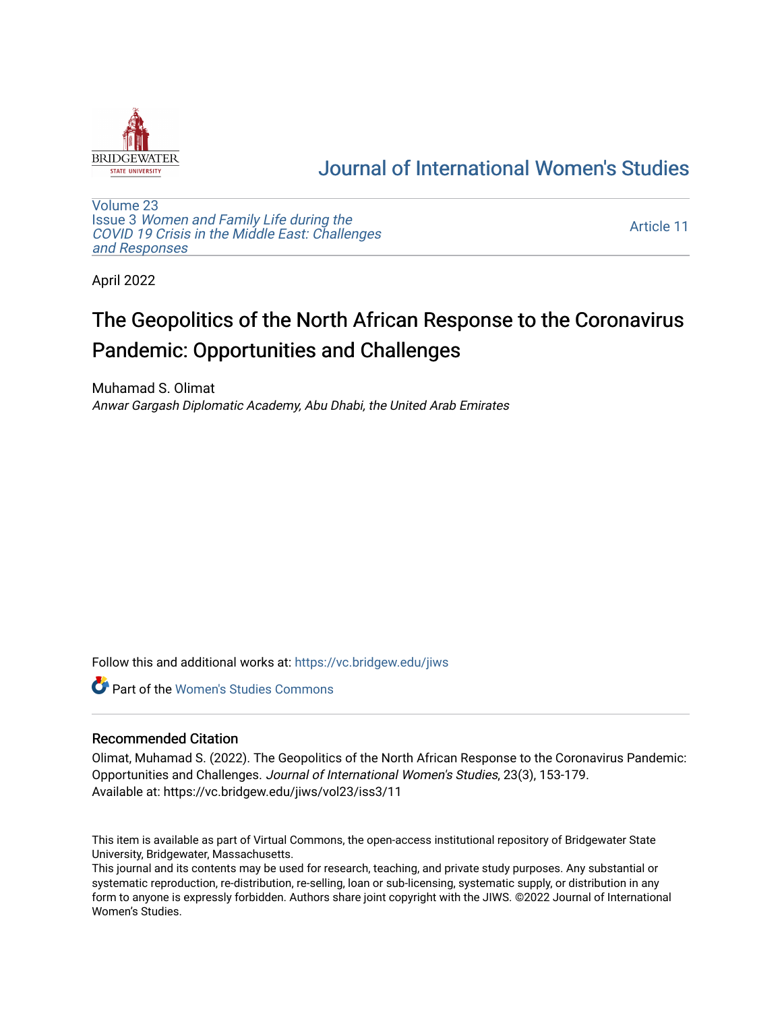

# [Journal of International Women's Studies](https://vc.bridgew.edu/jiws)

[Volume 23](https://vc.bridgew.edu/jiws/vol23) Issue 3 [Women and Family Life during the](https://vc.bridgew.edu/jiws/vol23/iss3)  [COVID 19 Crisis in the Middle East: Challenges](https://vc.bridgew.edu/jiws/vol23/iss3) [and Responses](https://vc.bridgew.edu/jiws/vol23/iss3) 

[Article 11](https://vc.bridgew.edu/jiws/vol23/iss3/11) 

April 2022

# The Geopolitics of the North African Response to the Coronavirus Pandemic: Opportunities and Challenges

Muhamad S. Olimat Anwar Gargash Diplomatic Academy, Abu Dhabi, the United Arab Emirates

Follow this and additional works at: [https://vc.bridgew.edu/jiws](https://vc.bridgew.edu/jiws?utm_source=vc.bridgew.edu%2Fjiws%2Fvol23%2Fiss3%2F11&utm_medium=PDF&utm_campaign=PDFCoverPages)

Part of the [Women's Studies Commons](http://network.bepress.com/hgg/discipline/561?utm_source=vc.bridgew.edu%2Fjiws%2Fvol23%2Fiss3%2F11&utm_medium=PDF&utm_campaign=PDFCoverPages) 

#### Recommended Citation

Olimat, Muhamad S. (2022). The Geopolitics of the North African Response to the Coronavirus Pandemic: Opportunities and Challenges. Journal of International Women's Studies, 23(3), 153-179. Available at: https://vc.bridgew.edu/jiws/vol23/iss3/11

This item is available as part of Virtual Commons, the open-access institutional repository of Bridgewater State University, Bridgewater, Massachusetts.

This journal and its contents may be used for research, teaching, and private study purposes. Any substantial or systematic reproduction, re-distribution, re-selling, loan or sub-licensing, systematic supply, or distribution in any form to anyone is expressly forbidden. Authors share joint copyright with the JIWS. ©2022 Journal of International Women's Studies.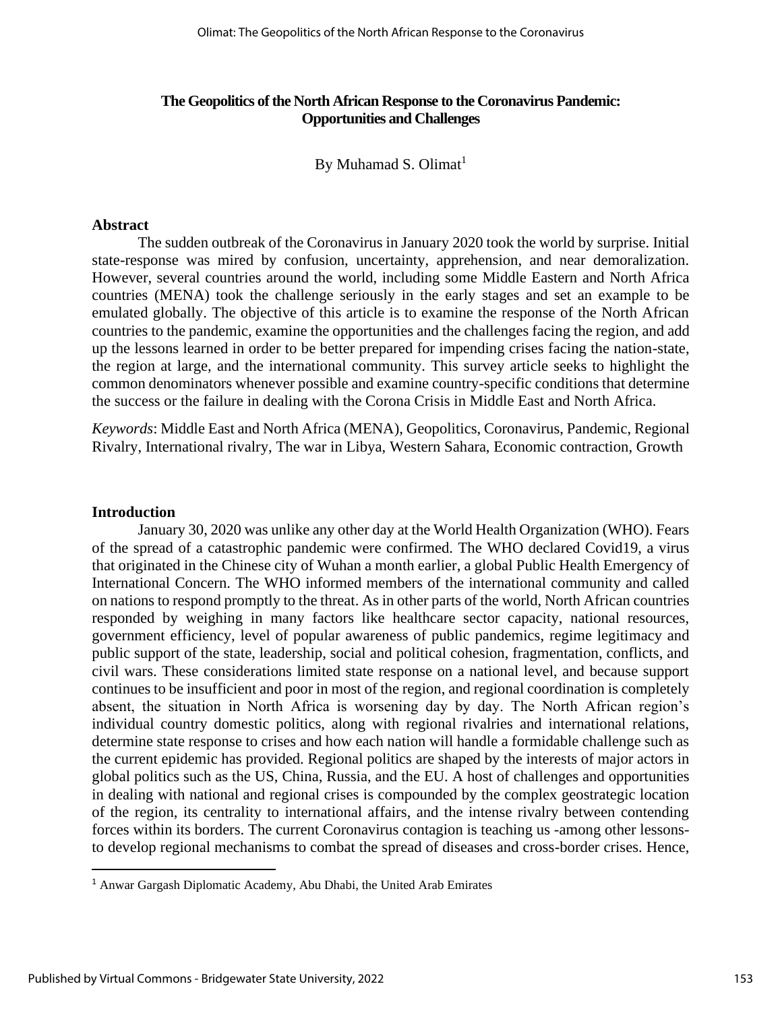## **The Geopolitics of the North African Response to the Coronavirus Pandemic: Opportunities and Challenges**

By Muhamad S. Olimat $<sup>1</sup>$ </sup>

#### **Abstract**

The sudden outbreak of the Coronavirus in January 2020 took the world by surprise. Initial state-response was mired by confusion, uncertainty, apprehension, and near demoralization. However, several countries around the world, including some Middle Eastern and North Africa countries (MENA) took the challenge seriously in the early stages and set an example to be emulated globally. The objective of this article is to examine the response of the North African countries to the pandemic, examine the opportunities and the challenges facing the region, and add up the lessons learned in order to be better prepared for impending crises facing the nation-state, the region at large, and the international community. This survey article seeks to highlight the common denominators whenever possible and examine country-specific conditions that determine the success or the failure in dealing with the Corona Crisis in Middle East and North Africa.

*Keywords*: Middle East and North Africa (MENA), Geopolitics, Coronavirus, Pandemic, Regional Rivalry, International rivalry, The war in Libya, Western Sahara, Economic contraction, Growth

#### **Introduction**

January 30, 2020 was unlike any other day at the World Health Organization (WHO). Fears of the spread of a catastrophic pandemic were confirmed. The WHO declared Covid19, a virus that originated in the Chinese city of Wuhan a month earlier, a global Public Health Emergency of International Concern. The WHO informed members of the international community and called on nations to respond promptly to the threat. As in other parts of the world, North African countries responded by weighing in many factors like healthcare sector capacity, national resources, government efficiency, level of popular awareness of public pandemics, regime legitimacy and public support of the state, leadership, social and political cohesion, fragmentation, conflicts, and civil wars. These considerations limited state response on a national level, and because support continues to be insufficient and poor in most of the region, and regional coordination is completely absent, the situation in North Africa is worsening day by day. The North African region's individual country domestic politics, along with regional rivalries and international relations, determine state response to crises and how each nation will handle a formidable challenge such as the current epidemic has provided. Regional politics are shaped by the interests of major actors in global politics such as the US, China, Russia, and the EU. A host of challenges and opportunities in dealing with national and regional crises is compounded by the complex geostrategic location of the region, its centrality to international affairs, and the intense rivalry between contending forces within its borders. The current Coronavirus contagion is teaching us -among other lessonsto develop regional mechanisms to combat the spread of diseases and cross-border crises. Hence,

<sup>1</sup> Anwar Gargash Diplomatic Academy, Abu Dhabi, the United Arab Emirates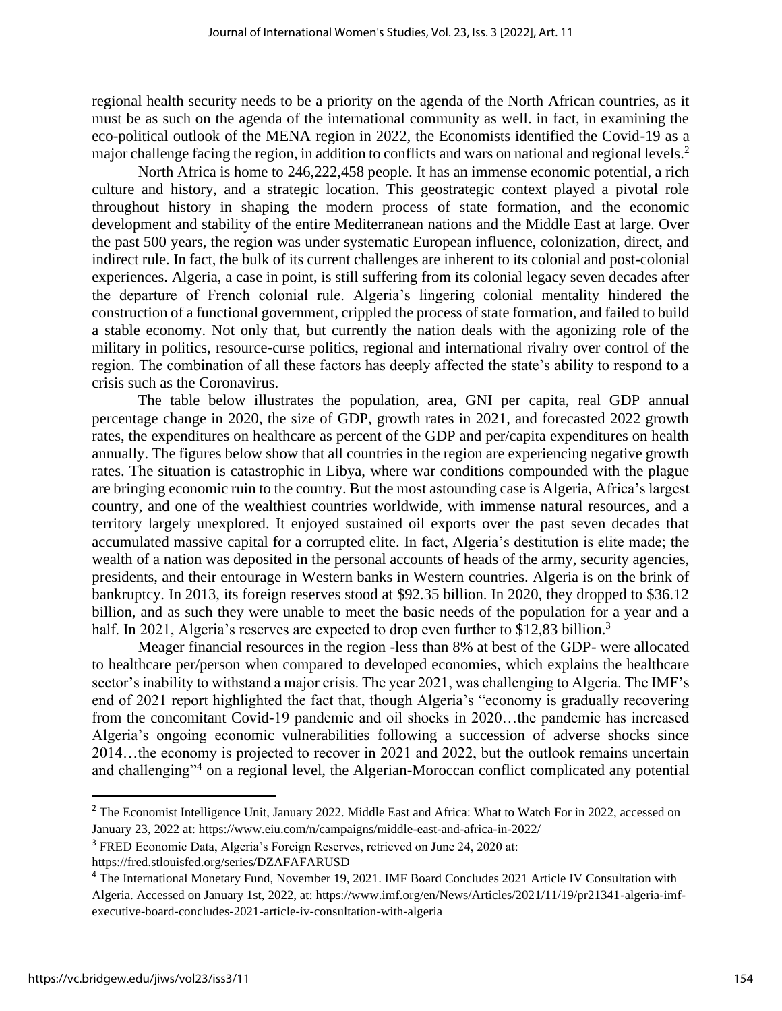regional health security needs to be a priority on the agenda of the North African countries, as it must be as such on the agenda of the international community as well. in fact, in examining the eco-political outlook of the MENA region in 2022, the Economists identified the Covid-19 as a major challenge facing the region, in addition to conflicts and wars on national and regional levels.<sup>2</sup>

North Africa is home to 246,222,458 people. It has an immense economic potential, a rich culture and history, and a strategic location. This geostrategic context played a pivotal role throughout history in shaping the modern process of state formation, and the economic development and stability of the entire Mediterranean nations and the Middle East at large. Over the past 500 years, the region was under systematic European influence, colonization, direct, and indirect rule. In fact, the bulk of its current challenges are inherent to its colonial and post-colonial experiences. Algeria, a case in point, is still suffering from its colonial legacy seven decades after the departure of French colonial rule. Algeria's lingering colonial mentality hindered the construction of a functional government, crippled the process of state formation, and failed to build a stable economy. Not only that, but currently the nation deals with the agonizing role of the military in politics, resource-curse politics, regional and international rivalry over control of the region. The combination of all these factors has deeply affected the state's ability to respond to a crisis such as the Coronavirus.

The table below illustrates the population, area, GNI per capita, real GDP annual percentage change in 2020, the size of GDP, growth rates in 2021, and forecasted 2022 growth rates, the expenditures on healthcare as percent of the GDP and per/capita expenditures on health annually. The figures below show that all countries in the region are experiencing negative growth rates. The situation is catastrophic in Libya, where war conditions compounded with the plague are bringing economic ruin to the country. But the most astounding case is Algeria, Africa's largest country, and one of the wealthiest countries worldwide, with immense natural resources, and a territory largely unexplored. It enjoyed sustained oil exports over the past seven decades that accumulated massive capital for a corrupted elite. In fact, Algeria's destitution is elite made; the wealth of a nation was deposited in the personal accounts of heads of the army, security agencies, presidents, and their entourage in Western banks in Western countries. Algeria is on the brink of bankruptcy. In 2013, its foreign reserves stood at \$92.35 billion. In 2020, they dropped to \$36.12 billion, and as such they were unable to meet the basic needs of the population for a year and a half. In 2021, Algeria's reserves are expected to drop even further to \$12,83 billion.<sup>3</sup>

Meager financial resources in the region -less than 8% at best of the GDP- were allocated to healthcare per/person when compared to developed economies, which explains the healthcare sector's inability to withstand a major crisis. The year 2021, was challenging to Algeria. The IMF's end of 2021 report highlighted the fact that, though Algeria's "economy is gradually recovering from the concomitant Covid-19 pandemic and oil shocks in 2020…the pandemic has increased Algeria's ongoing economic vulnerabilities following a succession of adverse shocks since 2014…the economy is projected to recover in 2021 and 2022, but the outlook remains uncertain and challenging"<sup>4</sup> on a regional level, the Algerian-Moroccan conflict complicated any potential

<sup>&</sup>lt;sup>2</sup> The Economist Intelligence Unit, January 2022. Middle East and Africa: What to Watch For in 2022, accessed on January 23, 2022 at[: https://www.eiu.com/n/campaigns/middle-east-and-africa-in-2022/](https://www.eiu.com/n/campaigns/middle-east-and-africa-in-2022/)

<sup>3</sup> FRED Economic Data, Algeria's Foreign Reserves, retrieved on June 24, 2020 at:

<https://fred.stlouisfed.org/series/DZAFAFARUSD>

<sup>4</sup> The International Monetary Fund, November 19, 2021. IMF Board Concludes 2021 Article IV Consultation with Algeria. Accessed on January 1st, 2022, at: https://www.imf.org/en/News/Articles/2021/11/19/pr21341-algeria-imfexecutive-board-concludes-2021-article-iv-consultation-with-algeria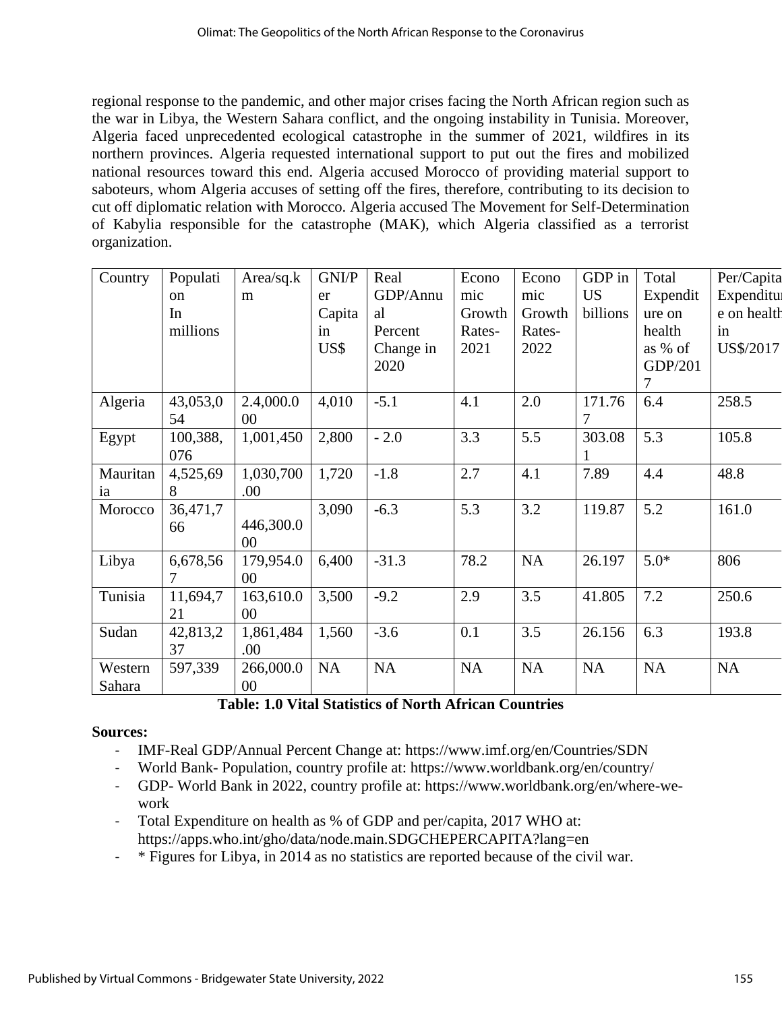regional response to the pandemic, and other major crises facing the North African region such as the war in Libya, the Western Sahara conflict, and the ongoing instability in Tunisia. Moreover, Algeria faced unprecedented ecological catastrophe in the summer of 2021, wildfires in its northern provinces. Algeria requested international support to put out the fires and mobilized national resources toward this end. Algeria accused Morocco of providing material support to saboteurs, whom Algeria accuses of setting off the fires, therefore, contributing to its decision to cut off diplomatic relation with Morocco. Algeria accused The Movement for Self-Determination of Kabylia responsible for the catastrophe (MAK), which Algeria classified as a terrorist organization.

| Country  | Populati      | Area/sq.k | GNI/P     | Real      | Econo  | Econo  | GDP in    | Total     | Per/Capita       |
|----------|---------------|-----------|-----------|-----------|--------|--------|-----------|-----------|------------------|
|          | <sub>on</sub> | m         | er        | GDP/Annu  | mic    | mic    | <b>US</b> | Expendit  | <b>Expenditu</b> |
|          | In            |           | Capita    | al        | Growth | Growth | billions  | ure on    | e on health      |
|          | millions      |           | in        | Percent   | Rates- | Rates- |           | health    | in               |
|          |               |           | US\$      | Change in | 2021   | 2022   |           | as % of   | US\$/2017        |
|          |               |           |           | 2020      |        |        |           | GDP/201   |                  |
|          |               |           |           |           |        |        |           | 7         |                  |
| Algeria  | 43,053,0      | 2.4,000.0 | 4,010     | $-5.1$    | 4.1    | 2.0    | 171.76    | 6.4       | 258.5            |
|          | 54            | 00        |           |           |        |        |           |           |                  |
| Egypt    | 100,388,      | 1,001,450 | 2,800     | $-2.0$    | 3.3    | 5.5    | 303.08    | 5.3       | 105.8            |
|          | 076           |           |           |           |        |        |           |           |                  |
| Mauritan | 4,525,69      | 1,030,700 | 1,720     | $-1.8$    | 2.7    | 4.1    | 7.89      | 4.4       | 48.8             |
| ia       | 8             | .00.      |           |           |        |        |           |           |                  |
| Morocco  | 36,471,7      |           | 3,090     | $-6.3$    | 5.3    | 3.2    | 119.87    | 5.2       | 161.0            |
|          | 66            | 446,300.0 |           |           |        |        |           |           |                  |
|          |               | 00        |           |           |        |        |           |           |                  |
| Libya    | 6,678,56      | 179,954.0 | 6,400     | $-31.3$   | 78.2   | NA     | 26.197    | $5.0*$    | 806              |
|          | 7             | 00        |           |           |        |        |           |           |                  |
| Tunisia  | 11,694,7      | 163,610.0 | 3,500     | $-9.2$    | 2.9    | 3.5    | 41.805    | 7.2       | 250.6            |
|          | 21            | 00        |           |           |        |        |           |           |                  |
| Sudan    | 42,813,2      | 1,861,484 | 1,560     | $-3.6$    | 0.1    | 3.5    | 26.156    | 6.3       | 193.8            |
|          | 37            | .00.      |           |           |        |        |           |           |                  |
| Western  | 597,339       | 266,000.0 | <b>NA</b> | NA        | NA     | NA     | <b>NA</b> | <b>NA</b> | NA               |
| Sahara   |               | $00\,$    |           |           |        |        |           |           |                  |

**Table: 1.0 Vital Statistics of North African Countries**

# **Sources:**

- IMF-Real GDP/Annual Percent Change at:<https://www.imf.org/en/Countries/SDN>
- World Bank- Population, country profile at: [https://www.worldbank.org/en/country/](https://www.worldbank.org/en/country/lib)
- GDP- World Bank in 2022, country profile at: https://www.worldbank.org/en/where-wework
- Total Expenditure on health as % of GDP and per/capita, 2017 WHO at: <https://apps.who.int/gho/data/node.main.SDGCHEPERCAPITA?lang=en>
- \* Figures for Libya, in 2014 as no statistics are reported because of the civil war.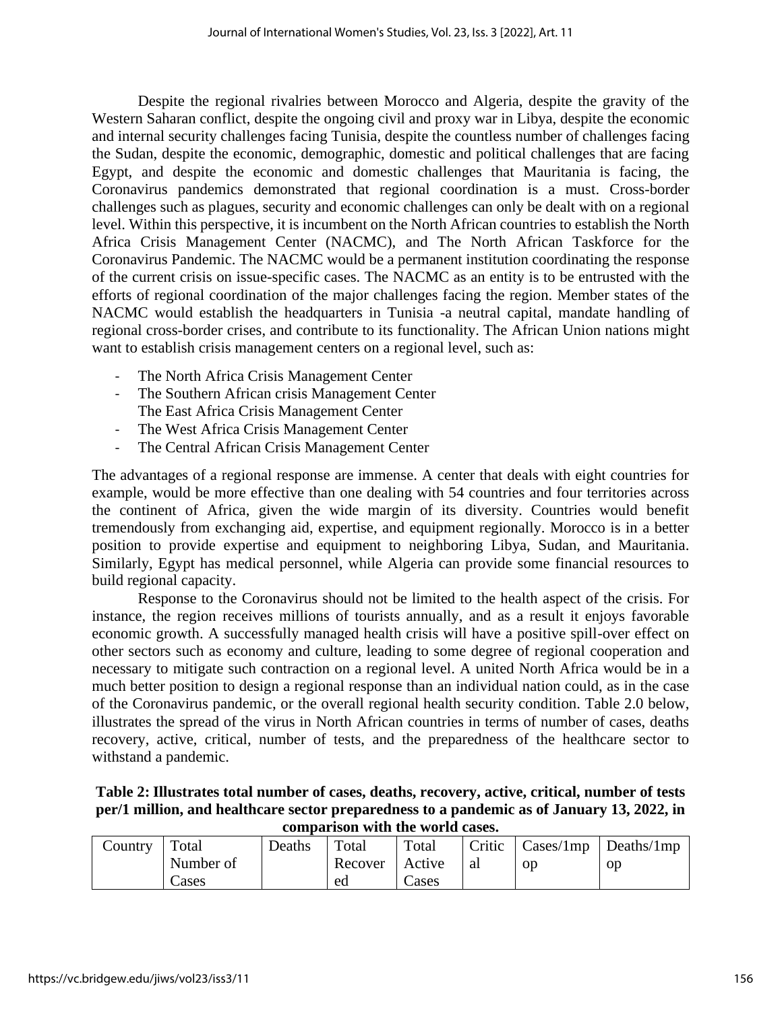Despite the regional rivalries between Morocco and Algeria, despite the gravity of the Western Saharan conflict, despite the ongoing civil and proxy war in Libya, despite the economic and internal security challenges facing Tunisia, despite the countless number of challenges facing the Sudan, despite the economic, demographic, domestic and political challenges that are facing Egypt, and despite the economic and domestic challenges that Mauritania is facing, the Coronavirus pandemics demonstrated that regional coordination is a must. Cross-border challenges such as plagues, security and economic challenges can only be dealt with on a regional level. Within this perspective, it is incumbent on the North African countries to establish the North Africa Crisis Management Center (NACMC), and The North African Taskforce for the Coronavirus Pandemic. The NACMC would be a permanent institution coordinating the response of the current crisis on issue-specific cases. The NACMC as an entity is to be entrusted with the efforts of regional coordination of the major challenges facing the region. Member states of the NACMC would establish the headquarters in Tunisia -a neutral capital, mandate handling of regional cross-border crises, and contribute to its functionality. The African Union nations might want to establish crisis management centers on a regional level, such as:

- The North Africa Crisis Management Center
- The Southern African crisis Management Center The East Africa Crisis Management Center
- The West Africa Crisis Management Center
- The Central African Crisis Management Center

The advantages of a regional response are immense. A center that deals with eight countries for example, would be more effective than one dealing with 54 countries and four territories across the continent of Africa, given the wide margin of its diversity. Countries would benefit tremendously from exchanging aid, expertise, and equipment regionally. Morocco is in a better position to provide expertise and equipment to neighboring Libya, Sudan, and Mauritania. Similarly, Egypt has medical personnel, while Algeria can provide some financial resources to build regional capacity.

Response to the Coronavirus should not be limited to the health aspect of the crisis. For instance, the region receives millions of tourists annually, and as a result it enjoys favorable economic growth. A successfully managed health crisis will have a positive spill-over effect on other sectors such as economy and culture, leading to some degree of regional cooperation and necessary to mitigate such contraction on a regional level. A united North Africa would be in a much better position to design a regional response than an individual nation could, as in the case of the Coronavirus pandemic, or the overall regional health security condition. Table 2.0 below, illustrates the spread of the virus in North African countries in terms of number of cases, deaths recovery, active, critical, number of tests, and the preparedness of the healthcare sector to withstand a pandemic.

| Table 2: Illustrates total number of cases, deaths, recovery, active, critical, number of tests |
|-------------------------------------------------------------------------------------------------|
| per/1 million, and healthcare sector preparedness to a pandemic as of January 13, 2022, in      |
| comparison with the world cases.                                                                |

| Country | Total     | Deaths | Total   | Total  |    |    | $\vert$ Critic $\vert$ Cases/1mp $\vert$ Deaths/1mp |
|---------|-----------|--------|---------|--------|----|----|-----------------------------------------------------|
|         | Number of |        | Recover | Active | al | op | <sub>O</sub> p                                      |
|         | Cases     |        | ed      | Cases  |    |    |                                                     |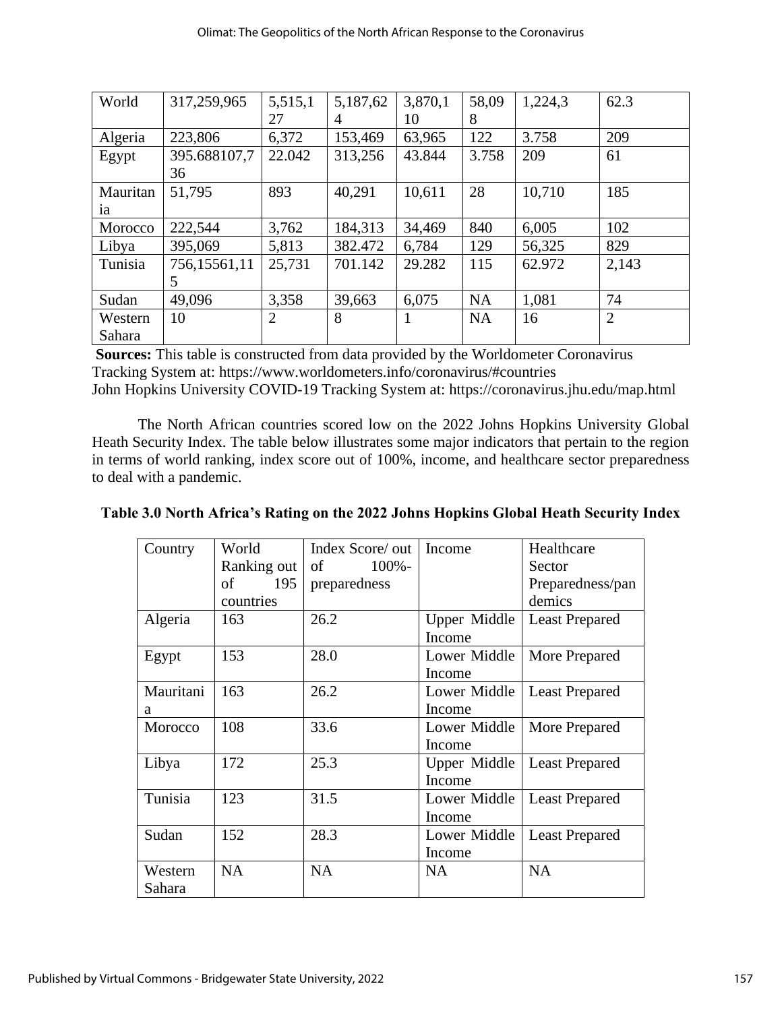| World    | 317,259,965  | 5,515,1        | 5,187,62       | 3,870,1 | 58,09     | 1,224,3 | 62.3           |
|----------|--------------|----------------|----------------|---------|-----------|---------|----------------|
|          |              | 27             | $\overline{4}$ | 10      | 8         |         |                |
| Algeria  | 223,806      | 6,372          | 153,469        | 63,965  | 122       | 3.758   | 209            |
| Egypt    | 395.688107,7 | 22.042         | 313,256        | 43.844  | 3.758     | 209     | 61             |
|          | 36           |                |                |         |           |         |                |
| Mauritan | 51,795       | 893            | 40,291         | 10,611  | 28        | 10,710  | 185            |
| ia       |              |                |                |         |           |         |                |
| Morocco  | 222,544      | 3,762          | 184,313        | 34,469  | 840       | 6,005   | 102            |
| Libya    | 395,069      | 5,813          | 382.472        | 6,784   | 129       | 56,325  | 829            |
| Tunisia  | 756,15561,11 | 25,731         | 701.142        | 29.282  | 115       | 62.972  | 2,143          |
|          | 5            |                |                |         |           |         |                |
| Sudan    | 49,096       | 3,358          | 39,663         | 6,075   | <b>NA</b> | 1,081   | 74             |
| Western  | 10           | $\overline{2}$ | 8              | 1       | <b>NA</b> | 16      | $\overline{2}$ |
| Sahara   |              |                |                |         |           |         |                |

**Sources:** This table is constructed from data provided by the Worldometer Coronavirus Tracking System at: https://www.worldometers.info/coronavirus/#countries John Hopkins University COVID-19 Tracking System at:<https://coronavirus.jhu.edu/map.html>

The North African countries scored low on the 2022 Johns Hopkins University Global Heath Security Index. The table below illustrates some major indicators that pertain to the region in terms of world ranking, index score out of 100%, income, and healthcare sector preparedness to deal with a pandemic.

| Country   | World       | Index Score/ out | Income       | Healthcare            |
|-----------|-------------|------------------|--------------|-----------------------|
|           | Ranking out | $100% -$<br>of   |              | Sector                |
|           | of<br>195   | preparedness     |              | Preparedness/pan      |
|           | countries   |                  |              | demics                |
| Algeria   | 163         | 26.2             | Upper Middle | <b>Least Prepared</b> |
|           |             |                  | Income       |                       |
| Egypt     | 153         | 28.0             | Lower Middle | More Prepared         |
|           |             |                  | Income       |                       |
| Mauritani | 163         | 26.2             | Lower Middle | <b>Least Prepared</b> |
| a         |             |                  | Income       |                       |
| Morocco   | 108         | 33.6             | Lower Middle | More Prepared         |
|           |             |                  | Income       |                       |
| Libya     | 172         | 25.3             | Upper Middle | <b>Least Prepared</b> |
|           |             |                  | Income       |                       |
| Tunisia   | 123         | 31.5             | Lower Middle | <b>Least Prepared</b> |
|           |             |                  | Income       |                       |
| Sudan     | 152         | 28.3             | Lower Middle | <b>Least Prepared</b> |
|           |             |                  | Income       |                       |
| Western   | <b>NA</b>   | <b>NA</b>        | <b>NA</b>    | <b>NA</b>             |
| Sahara    |             |                  |              |                       |

**Table 3.0 North Africa's Rating on the 2022 Johns Hopkins Global Heath Security Index**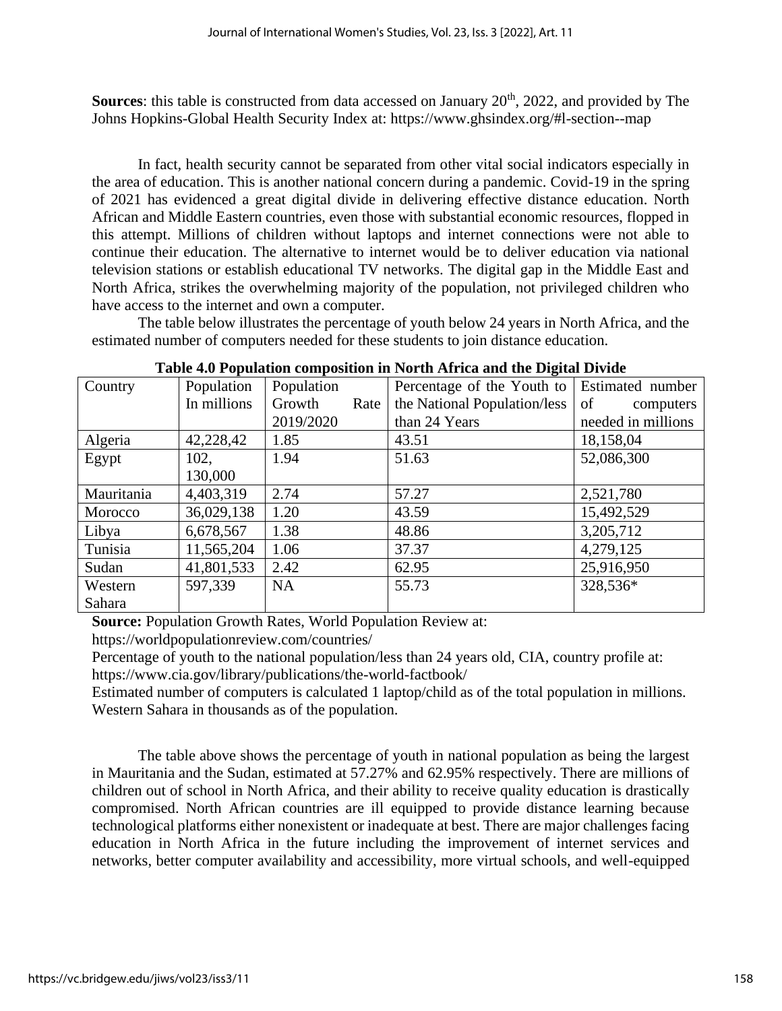**Sources**: this table is constructed from data accessed on January 20<sup>th</sup>, 2022, and provided by The Johns Hopkins-Global Health Security Index at: https://www.ghsindex.org/#l-section--map

In fact, health security cannot be separated from other vital social indicators especially in the area of education. This is another national concern during a pandemic. Covid-19 in the spring of 2021 has evidenced a great digital divide in delivering effective distance education. North African and Middle Eastern countries, even those with substantial economic resources, flopped in this attempt. Millions of children without laptops and internet connections were not able to continue their education. The alternative to internet would be to deliver education via national television stations or establish educational TV networks. The digital gap in the Middle East and North Africa, strikes the overwhelming majority of the population, not privileged children who have access to the internet and own a computer.

The table below illustrates the percentage of youth below 24 years in North Africa, and the estimated number of computers needed for these students to join distance education.

|            |             |                | $\mathbf{r}$ and $\mathbf{r}$ are operation composition in Fig. and the and the $\mathbf{r}$ space $\mathbf{r}$ |                    |
|------------|-------------|----------------|-----------------------------------------------------------------------------------------------------------------|--------------------|
| Country    | Population  | Population     | Percentage of the Youth to                                                                                      | Estimated number   |
|            | In millions | Growth<br>Rate | the National Population/less                                                                                    | of<br>computers    |
|            |             | 2019/2020      | than 24 Years                                                                                                   | needed in millions |
| Algeria    | 42,228,42   | 1.85           | 43.51                                                                                                           | 18,158,04          |
| Egypt      | 102,        | 1.94           | 51.63                                                                                                           | 52,086,300         |
|            | 130,000     |                |                                                                                                                 |                    |
| Mauritania | 4,403,319   | 2.74           | 57.27                                                                                                           | 2,521,780          |
| Morocco    | 36,029,138  | 1.20           | 43.59                                                                                                           | 15,492,529         |
| Libya      | 6,678,567   | 1.38           | 48.86                                                                                                           | 3,205,712          |
| Tunisia    | 11,565,204  | 1.06           | 37.37                                                                                                           | 4,279,125          |
| Sudan      | 41,801,533  | 2.42           | 62.95                                                                                                           | 25,916,950         |
| Western    | 597,339     | <b>NA</b>      | 55.73                                                                                                           | 328,536*           |
| Sahara     |             |                |                                                                                                                 |                    |

**Table 4.0 Population composition in North Africa and the Digital Divide**

**Source:** Population Growth Rates, World Population Review at:

<https://worldpopulationreview.com/countries/>

Percentage of youth to the national population/less than 24 years old, CIA, country profile at: <https://www.cia.gov/library/publications/the-world-factbook/>

Estimated number of computers is calculated 1 laptop/child as of the total population in millions. Western Sahara in thousands as of the population.

The table above shows the percentage of youth in national population as being the largest in Mauritania and the Sudan, estimated at 57.27% and 62.95% respectively. There are millions of children out of school in North Africa, and their ability to receive quality education is drastically compromised. North African countries are ill equipped to provide distance learning because technological platforms either nonexistent or inadequate at best. There are major challenges facing education in North Africa in the future including the improvement of internet services and networks, better computer availability and accessibility, more virtual schools, and well-equipped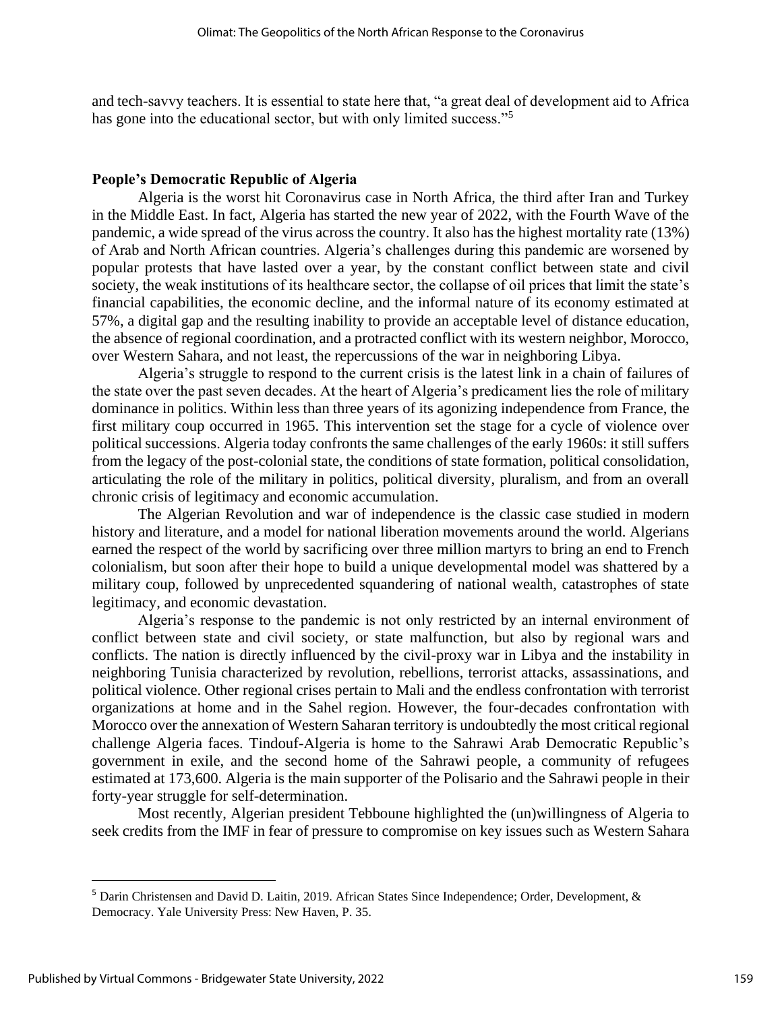and tech-savvy teachers. It is essential to state here that, "a great deal of development aid to Africa has gone into the educational sector, but with only limited success."<sup>5</sup>

#### **People's Democratic Republic of Algeria**

Algeria is the worst hit Coronavirus case in North Africa, the third after Iran and Turkey in the Middle East. In fact, Algeria has started the new year of 2022, with the Fourth Wave of the pandemic, a wide spread of the virus across the country. It also has the highest mortality rate (13%) of Arab and North African countries. Algeria's challenges during this pandemic are worsened by popular protests that have lasted over a year, by the constant conflict between state and civil society, the weak institutions of its healthcare sector, the collapse of oil prices that limit the state's financial capabilities, the economic decline, and the informal nature of its economy estimated at 57%, a digital gap and the resulting inability to provide an acceptable level of distance education, the absence of regional coordination, and a protracted conflict with its western neighbor, Morocco, over Western Sahara, and not least, the repercussions of the war in neighboring Libya.

Algeria's struggle to respond to the current crisis is the latest link in a chain of failures of the state over the past seven decades. At the heart of Algeria's predicament lies the role of military dominance in politics. Within less than three years of its agonizing independence from France, the first military coup occurred in 1965. This intervention set the stage for a cycle of violence over political successions. Algeria today confronts the same challenges of the early 1960s: it still suffers from the legacy of the post-colonial state, the conditions of state formation, political consolidation, articulating the role of the military in politics, political diversity, pluralism, and from an overall chronic crisis of legitimacy and economic accumulation.

The Algerian Revolution and war of independence is the classic case studied in modern history and literature, and a model for national liberation movements around the world. Algerians earned the respect of the world by sacrificing over three million martyrs to bring an end to French colonialism, but soon after their hope to build a unique developmental model was shattered by a military coup, followed by unprecedented squandering of national wealth, catastrophes of state legitimacy, and economic devastation.

Algeria's response to the pandemic is not only restricted by an internal environment of conflict between state and civil society, or state malfunction, but also by regional wars and conflicts. The nation is directly influenced by the civil-proxy war in Libya and the instability in neighboring Tunisia characterized by revolution, rebellions, terrorist attacks, assassinations, and political violence. Other regional crises pertain to Mali and the endless confrontation with terrorist organizations at home and in the Sahel region. However, the four-decades confrontation with Morocco over the annexation of Western Saharan territory is undoubtedly the most critical regional challenge Algeria faces. Tindouf-Algeria is home to the Sahrawi Arab Democratic Republic's government in exile, and the second home of the Sahrawi people, a community of refugees estimated at 173,600. Algeria is the main supporter of the Polisario and the Sahrawi people in their forty-year struggle for self-determination.

Most recently, Algerian president Tebboune highlighted the (un)willingness of Algeria to seek credits from the IMF in fear of pressure to compromise on key issues such as Western Sahara

<sup>5</sup> Darin Christensen and David D. Laitin, 2019. African States Since Independence; Order, Development, & Democracy. Yale University Press: New Haven, P. 35.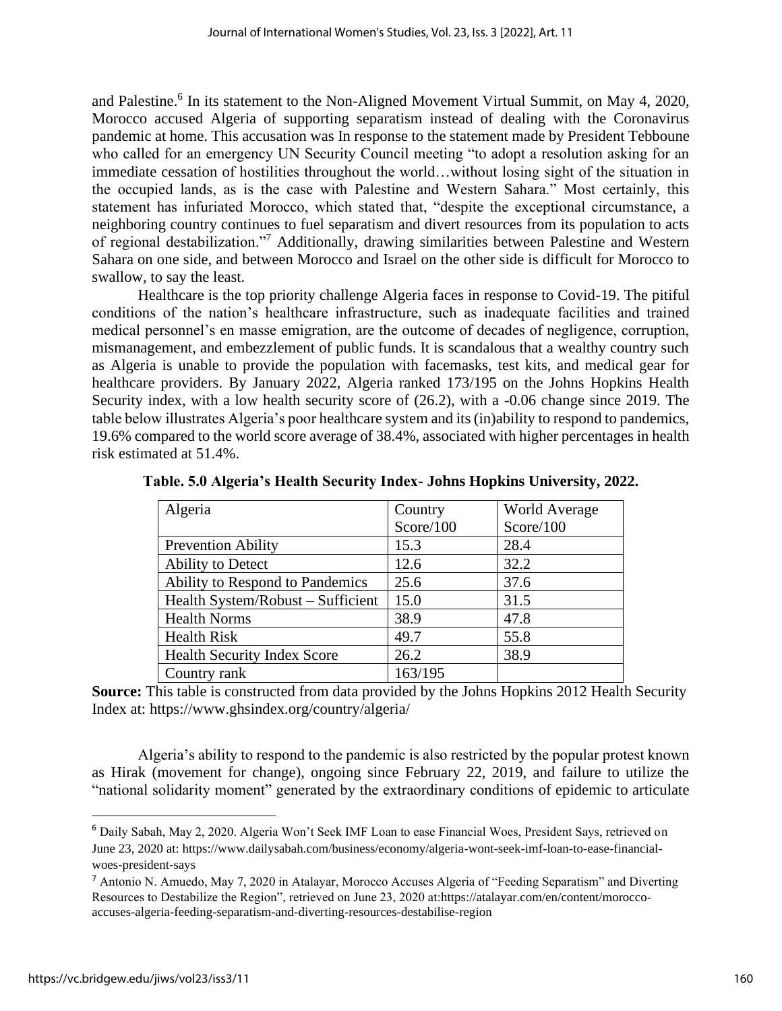and Palestine.<sup>6</sup> In its statement to the Non-Aligned Movement Virtual Summit, on May 4, 2020, Morocco accused Algeria of supporting separatism instead of dealing with the Coronavirus pandemic at home. This accusation was In response to the statement made by President Tebboune who called for an emergency UN Security Council meeting "to adopt a resolution asking for an immediate cessation of hostilities throughout the world…without losing sight of the situation in the occupied lands, as is the case with Palestine and Western Sahara." Most certainly, this statement has infuriated Morocco, which stated that, "despite the exceptional circumstance, a neighboring country continues to fuel separatism and divert resources from its population to acts of regional destabilization."<sup>7</sup> Additionally, drawing similarities between Palestine and Western Sahara on one side, and between Morocco and Israel on the other side is difficult for Morocco to swallow, to say the least.

Healthcare is the top priority challenge Algeria faces in response to Covid-19. The pitiful conditions of the nation's healthcare infrastructure, such as inadequate facilities and trained medical personnel's en masse emigration, are the outcome of decades of negligence, corruption, mismanagement, and embezzlement of public funds. It is scandalous that a wealthy country such as Algeria is unable to provide the population with facemasks, test kits, and medical gear for healthcare providers. By January 2022, Algeria ranked 173/195 on the Johns Hopkins Health Security index, with a low health security score of (26.2), with a -0.06 change since 2019. The table below illustrates Algeria's poor healthcare system and its (in)ability to respond to pandemics, 19.6% compared to the world score average of 38.4%, associated with higher percentages in health risk estimated at 51.4%.

| Algeria                            | Country   | <b>World Average</b> |
|------------------------------------|-----------|----------------------|
|                                    | Score/100 | Score/100            |
| <b>Prevention Ability</b>          | 15.3      | 28.4                 |
| Ability to Detect                  | 12.6      | 32.2                 |
| Ability to Respond to Pandemics    | 25.6      | 37.6                 |
| Health System/Robust – Sufficient  | 15.0      | 31.5                 |
| <b>Health Norms</b>                | 38.9      | 47.8                 |
| <b>Health Risk</b>                 | 49.7      | 55.8                 |
| <b>Health Security Index Score</b> | 26.2      | 38.9                 |
| Country rank                       | 163/195   |                      |

|  |  |  |  | Table. 5.0 Algeria's Health Security Index- Johns Hopkins University, 2022. |  |
|--|--|--|--|-----------------------------------------------------------------------------|--|
|  |  |  |  |                                                                             |  |

**Source:** This table is constructed from data provided by the Johns Hopkins 2012 Health Security Index at: https://www.ghsindex.org/country/algeria/

Algeria's ability to respond to the pandemic is also restricted by the popular protest known as Hirak (movement for change), ongoing since February 22, 2019, and failure to utilize the "national solidarity moment" generated by the extraordinary conditions of epidemic to articulate

<sup>6</sup> Daily Sabah, May 2, 2020. Algeria Won't Seek IMF Loan to ease Financial Woes, President Says, retrieved on June 23, 2020 at: [https://www.dailysabah.com/business/economy/algeria-wont-seek-imf-loan-to-ease-financial](https://www.dailysabah.com/business/economy/algeria-wont-seek-imf-loan-to-ease-financial-woes-president-says)[woes-president-says](https://www.dailysabah.com/business/economy/algeria-wont-seek-imf-loan-to-ease-financial-woes-president-says)

<sup>7</sup> Antonio N. Amuedo, May 7, 2020 in Atalayar, Morocco Accuses Algeria of "Feeding Separatism" and Diverting Resources to Destabilize the Region", retrieved on June 23, 2020 at[:https://atalayar.com/en/content/morocco](https://atalayar.com/en/content/morocco-accuses-algeria-feeding-separatism-and-diverting-resources-destabilise-region)[accuses-algeria-feeding-separatism-and-diverting-resources-destabilise-region](https://atalayar.com/en/content/morocco-accuses-algeria-feeding-separatism-and-diverting-resources-destabilise-region)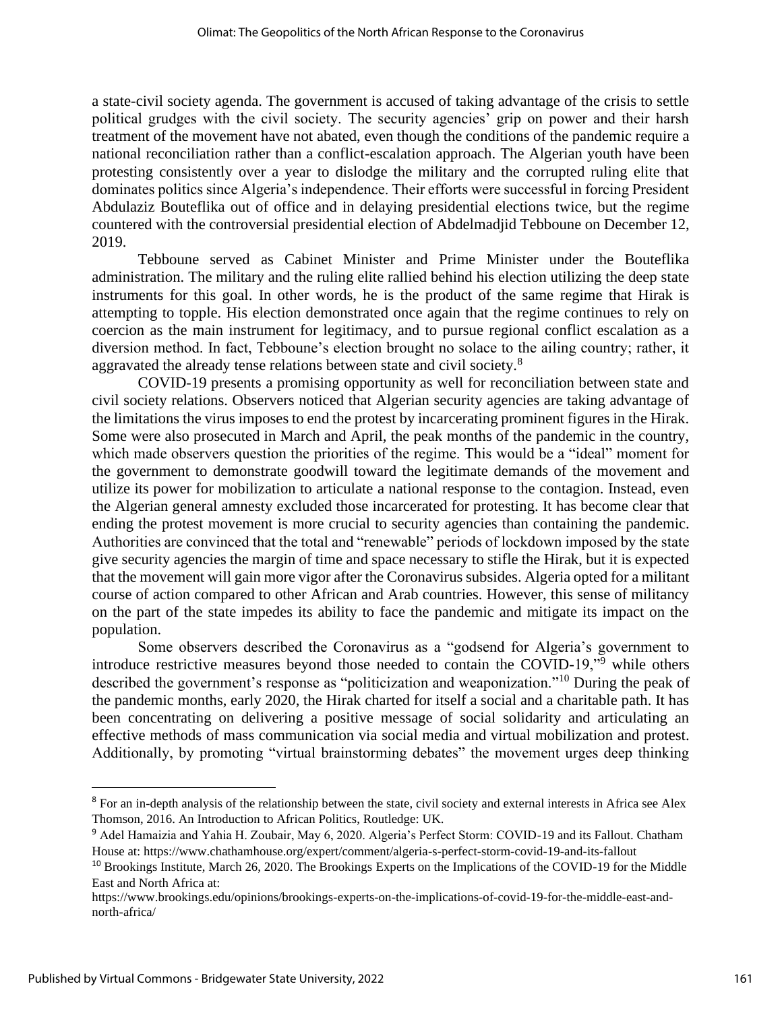a state-civil society agenda. The government is accused of taking advantage of the crisis to settle political grudges with the civil society. The security agencies' grip on power and their harsh treatment of the movement have not abated, even though the conditions of the pandemic require a national reconciliation rather than a conflict-escalation approach. The Algerian youth have been protesting consistently over a year to dislodge the military and the corrupted ruling elite that dominates politics since Algeria's independence. Their efforts were successful in forcing President Abdulaziz Bouteflika out of office and in delaying presidential elections twice, but the regime countered with the controversial presidential election of Abdelmadjid Tebboune on December 12, 2019.

Tebboune served as Cabinet Minister and Prime Minister under the Bouteflika administration. The military and the ruling elite rallied behind his election utilizing the deep state instruments for this goal. In other words, he is the product of the same regime that Hirak is attempting to topple. His election demonstrated once again that the regime continues to rely on coercion as the main instrument for legitimacy, and to pursue regional conflict escalation as a diversion method. In fact, Tebboune's election brought no solace to the ailing country; rather, it aggravated the already tense relations between state and civil society.<sup>8</sup>

COVID-19 presents a promising opportunity as well for reconciliation between state and civil society relations. Observers noticed that Algerian security agencies are taking advantage of the limitations the virus imposes to end the protest by incarcerating prominent figures in the Hirak. Some were also prosecuted in March and April, the peak months of the pandemic in the country, which made observers question the priorities of the regime. This would be a "ideal" moment for the government to demonstrate goodwill toward the legitimate demands of the movement and utilize its power for mobilization to articulate a national response to the contagion. Instead, even the Algerian general amnesty excluded those incarcerated for protesting. It has become clear that ending the protest movement is more crucial to security agencies than containing the pandemic. Authorities are convinced that the total and "renewable" periods of lockdown imposed by the state give security agencies the margin of time and space necessary to stifle the Hirak, but it is expected that the movement will gain more vigor after the Coronavirus subsides. Algeria opted for a militant course of action compared to other African and Arab countries. However, this sense of militancy on the part of the state impedes its ability to face the pandemic and mitigate its impact on the population.

Some observers described the Coronavirus as a "godsend for Algeria's government to introduce restrictive measures beyond those needed to contain the COVID-19,"<sup>9</sup> while others described the government's response as "politicization and weaponization."<sup>10</sup> During the peak of the pandemic months, early 2020, the Hirak charted for itself a social and a charitable path. It has been concentrating on delivering a positive message of social solidarity and articulating an effective methods of mass communication via social media and virtual mobilization and protest. Additionally, by promoting "virtual brainstorming debates" the movement urges deep thinking

<sup>&</sup>lt;sup>8</sup> For an in-depth analysis of the relationship between the state, civil society and external interests in Africa see Alex Thomson, 2016. An Introduction to African Politics, Routledge: UK.

<sup>9</sup> Adel Hamaizia and Yahia H. Zoubair, May 6, 2020. Algeria's Perfect Storm: COVID-19 and its Fallout. Chatham House at[: https://www.chathamhouse.org/expert/comment/algeria-s-perfect-storm-covid-19-and-its-fallout](https://www.chathamhouse.org/expert/comment/algeria-s-perfect-storm-covid-19-and-its-fallout)

<sup>&</sup>lt;sup>10</sup> Brookings Institute, March 26, 2020. The Brookings Experts on the Implications of the COVID-19 for the Middle East and North Africa at:

[https://www.brookings.edu/opinions/brookings-experts-on-the-implications-of-covid-19-for-the-middle-east-and](https://www.brookings.edu/opinions/brookings-experts-on-the-implications-of-covid-19-for-the-middle-east-and-north-africa/)[north-africa/](https://www.brookings.edu/opinions/brookings-experts-on-the-implications-of-covid-19-for-the-middle-east-and-north-africa/)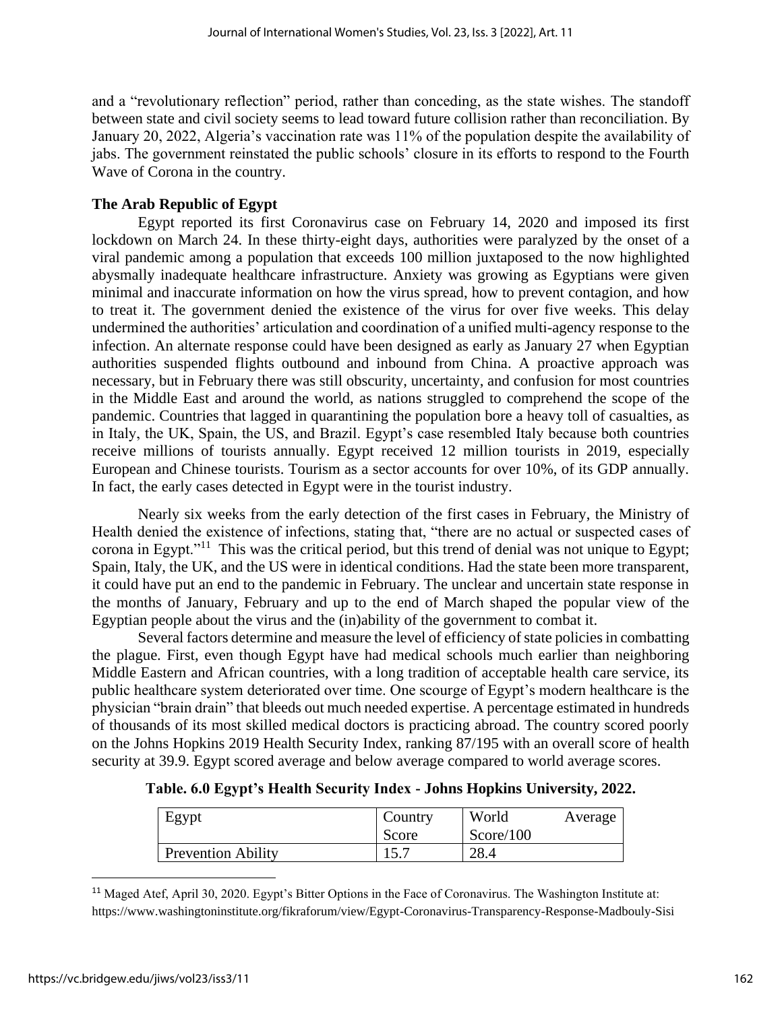and a "revolutionary reflection" period, rather than conceding, as the state wishes. The standoff between state and civil society seems to lead toward future collision rather than reconciliation. By January 20, 2022, Algeria's vaccination rate was 11% of the population despite the availability of jabs. The government reinstated the public schools' closure in its efforts to respond to the Fourth Wave of Corona in the country.

## **The Arab Republic of Egypt**

Egypt reported its first Coronavirus case on February 14, 2020 and imposed its first lockdown on March 24. In these thirty-eight days, authorities were paralyzed by the onset of a viral pandemic among a population that exceeds 100 million juxtaposed to the now highlighted abysmally inadequate healthcare infrastructure. Anxiety was growing as Egyptians were given minimal and inaccurate information on how the virus spread, how to prevent contagion, and how to treat it. The government denied the existence of the virus for over five weeks. This delay undermined the authorities' articulation and coordination of a unified multi-agency response to the infection. An alternate response could have been designed as early as January 27 when Egyptian authorities suspended flights outbound and inbound from China. A proactive approach was necessary, but in February there was still obscurity, uncertainty, and confusion for most countries in the Middle East and around the world, as nations struggled to comprehend the scope of the pandemic. Countries that lagged in quarantining the population bore a heavy toll of casualties, as in Italy, the UK, Spain, the US, and Brazil. Egypt's case resembled Italy because both countries receive millions of tourists annually. Egypt received 12 million tourists in 2019, especially European and Chinese tourists. Tourism as a sector accounts for over 10%, of its GDP annually. In fact, the early cases detected in Egypt were in the tourist industry.

Nearly six weeks from the early detection of the first cases in February, the Ministry of Health denied the existence of infections, stating that, "there are no actual or suspected cases of corona in Egypt."<sup>11</sup> This was the critical period, but this trend of denial was not unique to Egypt; Spain, Italy, the UK, and the US were in identical conditions. Had the state been more transparent, it could have put an end to the pandemic in February. The unclear and uncertain state response in the months of January, February and up to the end of March shaped the popular view of the Egyptian people about the virus and the (in)ability of the government to combat it.

Several factors determine and measure the level of efficiency of state policies in combatting the plague. First, even though Egypt have had medical schools much earlier than neighboring Middle Eastern and African countries, with a long tradition of acceptable health care service, its public healthcare system deteriorated over time. One scourge of Egypt's modern healthcare is the physician "brain drain" that bleeds out much needed expertise. A percentage estimated in hundreds of thousands of its most skilled medical doctors is practicing abroad. The country scored poorly on the Johns Hopkins 2019 Health Security Index, ranking 87/195 with an overall score of health security at 39.9. Egypt scored average and below average compared to world average scores.

| Egypt                     | Country<br>Score | World<br>Score/100 | Average |
|---------------------------|------------------|--------------------|---------|
| <b>Prevention Ability</b> |                  | 28.4               |         |

**Table. 6.0 Egypt's Health Security Index - Johns Hopkins University, 2022.**

<sup>11</sup> Maged Atef, April 30, 2020. Egypt's Bitter Options in the Face of Coronavirus. The Washington Institute at: <https://www.washingtoninstitute.org/fikraforum/view/Egypt-Coronavirus-Transparency-Response-Madbouly-Sisi>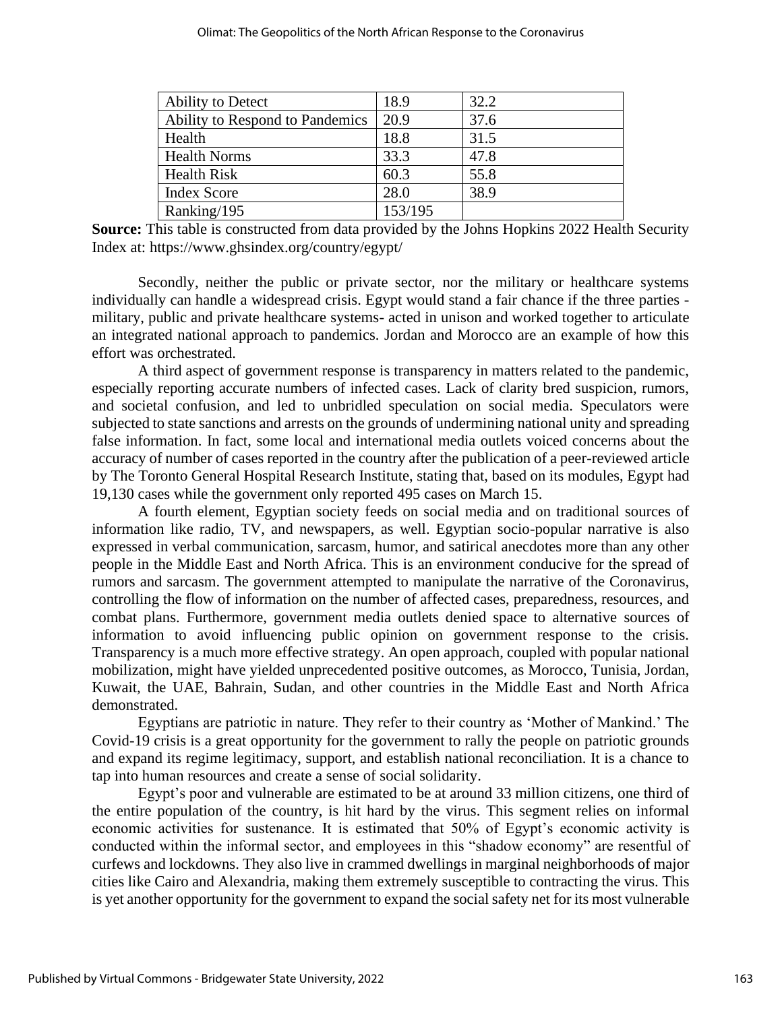| Ability to Detect               | 18.9    | 32.2 |
|---------------------------------|---------|------|
| Ability to Respond to Pandemics | 20.9    | 37.6 |
| Health                          | 18.8    | 31.5 |
| <b>Health Norms</b>             | 33.3    | 47.8 |
| <b>Health Risk</b>              | 60.3    | 55.8 |
| <b>Index Score</b>              | 28.0    | 38.9 |
| Ranking/195                     | 153/195 |      |

**Source:** This table is constructed from data provided by the Johns Hopkins 2022 Health Security Index at: https://www.ghsindex.org/country/egypt/

Secondly, neither the public or private sector, nor the military or healthcare systems individually can handle a widespread crisis. Egypt would stand a fair chance if the three parties military, public and private healthcare systems- acted in unison and worked together to articulate an integrated national approach to pandemics. Jordan and Morocco are an example of how this effort was orchestrated.

A third aspect of government response is transparency in matters related to the pandemic, especially reporting accurate numbers of infected cases. Lack of clarity bred suspicion, rumors, and societal confusion, and led to unbridled speculation on social media. Speculators were subjected to state sanctions and arrests on the grounds of undermining national unity and spreading false information. In fact, some local and international media outlets voiced concerns about the accuracy of number of cases reported in the country after the publication of a peer-reviewed article by The Toronto General Hospital Research Institute, stating that, based on its modules, Egypt had 19,130 cases while the government only reported 495 cases on March 15.

A fourth element, Egyptian society feeds on social media and on traditional sources of information like radio, TV, and newspapers, as well. Egyptian socio-popular narrative is also expressed in verbal communication, sarcasm, humor, and satirical anecdotes more than any other people in the Middle East and North Africa. This is an environment conducive for the spread of rumors and sarcasm. The government attempted to manipulate the narrative of the Coronavirus, controlling the flow of information on the number of affected cases, preparedness, resources, and combat plans. Furthermore, government media outlets denied space to alternative sources of information to avoid influencing public opinion on government response to the crisis. Transparency is a much more effective strategy. An open approach, coupled with popular national mobilization, might have yielded unprecedented positive outcomes, as Morocco, Tunisia, Jordan, Kuwait, the UAE, Bahrain, Sudan, and other countries in the Middle East and North Africa demonstrated.

Egyptians are patriotic in nature. They refer to their country as 'Mother of Mankind.' The Covid-19 crisis is a great opportunity for the government to rally the people on patriotic grounds and expand its regime legitimacy, support, and establish national reconciliation. It is a chance to tap into human resources and create a sense of social solidarity.

Egypt's poor and vulnerable are estimated to be at around 33 million citizens, one third of the entire population of the country, is hit hard by the virus. This segment relies on informal economic activities for sustenance. It is estimated that 50% of Egypt's economic activity is conducted within the informal sector, and employees in this "shadow economy" are resentful of curfews and lockdowns. They also live in crammed dwellings in marginal neighborhoods of major cities like Cairo and Alexandria, making them extremely susceptible to contracting the virus. This is yet another opportunity for the government to expand the social safety net for its most vulnerable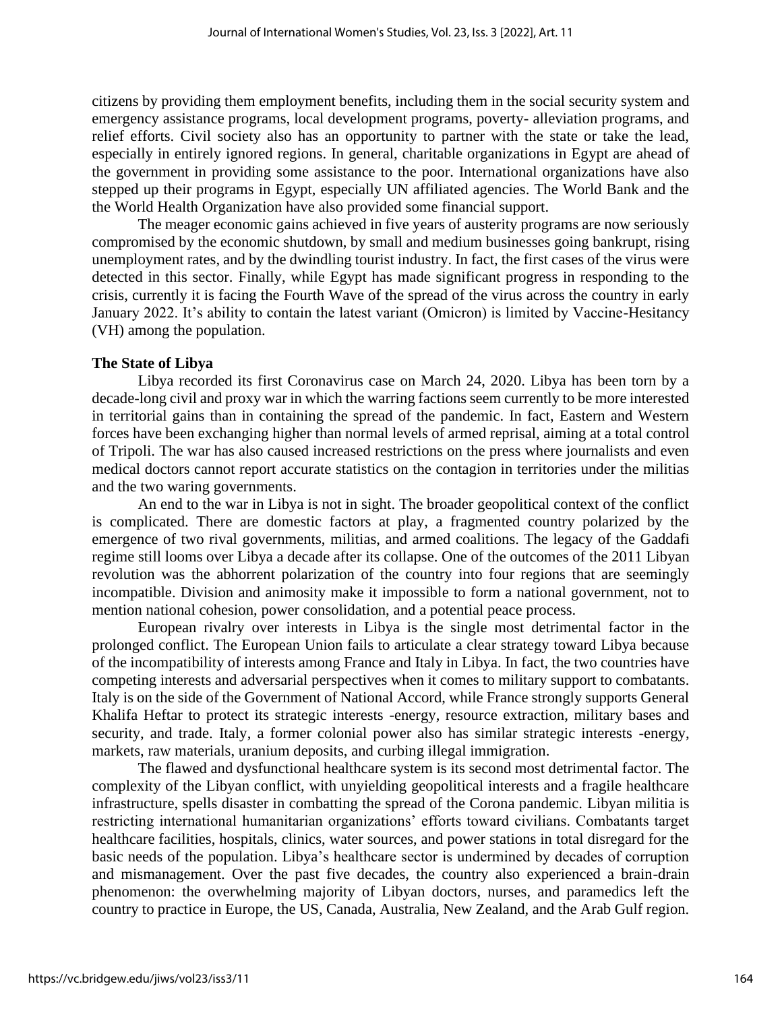citizens by providing them employment benefits, including them in the social security system and emergency assistance programs, local development programs, poverty- alleviation programs, and relief efforts. Civil society also has an opportunity to partner with the state or take the lead, especially in entirely ignored regions. In general, charitable organizations in Egypt are ahead of the government in providing some assistance to the poor. International organizations have also stepped up their programs in Egypt, especially UN affiliated agencies. The World Bank and the the World Health Organization have also provided some financial support.

The meager economic gains achieved in five years of austerity programs are now seriously compromised by the economic shutdown, by small and medium businesses going bankrupt, rising unemployment rates, and by the dwindling tourist industry. In fact, the first cases of the virus were detected in this sector. Finally, while Egypt has made significant progress in responding to the crisis, currently it is facing the Fourth Wave of the spread of the virus across the country in early January 2022. It's ability to contain the latest variant (Omicron) is limited by Vaccine-Hesitancy (VH) among the population.

#### **The State of Libya**

Libya recorded its first Coronavirus case on March 24, 2020. Libya has been torn by a decade-long civil and proxy war in which the warring factions seem currently to be more interested in territorial gains than in containing the spread of the pandemic. In fact, Eastern and Western forces have been exchanging higher than normal levels of armed reprisal, aiming at a total control of Tripoli. The war has also caused increased restrictions on the press where journalists and even medical doctors cannot report accurate statistics on the contagion in territories under the militias and the two waring governments.

An end to the war in Libya is not in sight. The broader geopolitical context of the conflict is complicated. There are domestic factors at play, a fragmented country polarized by the emergence of two rival governments, militias, and armed coalitions. The legacy of the Gaddafi regime still looms over Libya a decade after its collapse. One of the outcomes of the 2011 Libyan revolution was the abhorrent polarization of the country into four regions that are seemingly incompatible. Division and animosity make it impossible to form a national government, not to mention national cohesion, power consolidation, and a potential peace process.

European rivalry over interests in Libya is the single most detrimental factor in the prolonged conflict. The European Union fails to articulate a clear strategy toward Libya because of the incompatibility of interests among France and Italy in Libya. In fact, the two countries have competing interests and adversarial perspectives when it comes to military support to combatants. Italy is on the side of the Government of National Accord, while France strongly supports General Khalifa Heftar to protect its strategic interests -energy, resource extraction, military bases and security, and trade. Italy, a former colonial power also has similar strategic interests -energy, markets, raw materials, uranium deposits, and curbing illegal immigration.

The flawed and dysfunctional healthcare system is its second most detrimental factor. The complexity of the Libyan conflict, with unyielding geopolitical interests and a fragile healthcare infrastructure, spells disaster in combatting the spread of the Corona pandemic. Libyan militia is restricting international humanitarian organizations' efforts toward civilians. Combatants target healthcare facilities, hospitals, clinics, water sources, and power stations in total disregard for the basic needs of the population. Libya's healthcare sector is undermined by decades of corruption and mismanagement. Over the past five decades, the country also experienced a brain-drain phenomenon: the overwhelming majority of Libyan doctors, nurses, and paramedics left the country to practice in Europe, the US, Canada, Australia, New Zealand, and the Arab Gulf region.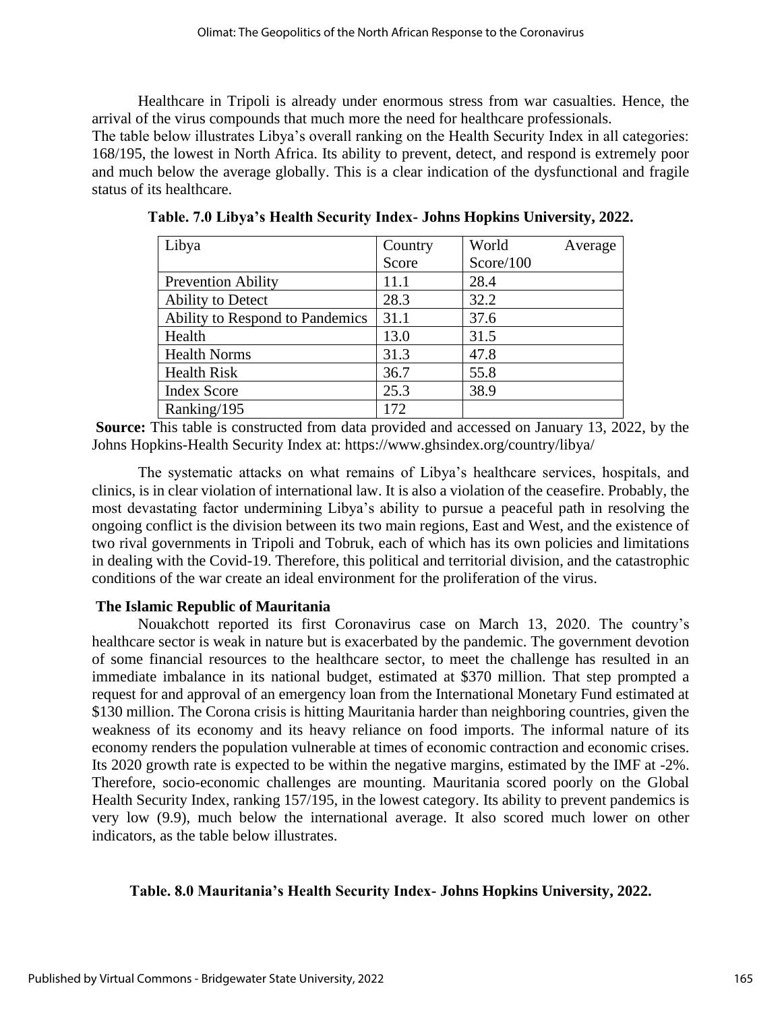Healthcare in Tripoli is already under enormous stress from war casualties. Hence, the arrival of the virus compounds that much more the need for healthcare professionals.

The table below illustrates Libya's overall ranking on the Health Security Index in all categories: 168/195, the lowest in North Africa. Its ability to prevent, detect, and respond is extremely poor and much below the average globally. This is a clear indication of the dysfunctional and fragile status of its healthcare.

| Libya                           | Country | World     | Average |
|---------------------------------|---------|-----------|---------|
|                                 | Score   | Score/100 |         |
| <b>Prevention Ability</b>       | 11.1    | 28.4      |         |
| Ability to Detect               | 28.3    | 32.2      |         |
| Ability to Respond to Pandemics | 31.1    | 37.6      |         |
| Health                          | 13.0    | 31.5      |         |
| <b>Health Norms</b>             | 31.3    | 47.8      |         |
| <b>Health Risk</b>              | 36.7    | 55.8      |         |
| <b>Index Score</b>              | 25.3    | 38.9      |         |
| Ranking/195                     | 172     |           |         |

**Table. 7.0 Libya's Health Security Index- Johns Hopkins University, 2022.**

**Source:** This table is constructed from data provided and accessed on January 13, 2022, by the Johns Hopkins-Health Security Index at: https://www.ghsindex.org/country/libya/

The systematic attacks on what remains of Libya's healthcare services, hospitals, and clinics, is in clear violation of international law. It is also a violation of the ceasefire. Probably, the most devastating factor undermining Libya's ability to pursue a peaceful path in resolving the ongoing conflict is the division between its two main regions, East and West, and the existence of two rival governments in Tripoli and Tobruk, each of which has its own policies and limitations in dealing with the Covid-19. Therefore, this political and territorial division, and the catastrophic conditions of the war create an ideal environment for the proliferation of the virus.

# **The Islamic Republic of Mauritania**

Nouakchott reported its first Coronavirus case on March 13, 2020. The country's healthcare sector is weak in nature but is exacerbated by the pandemic. The government devotion of some financial resources to the healthcare sector, to meet the challenge has resulted in an immediate imbalance in its national budget, estimated at \$370 million. That step prompted a request for and approval of an emergency loan from the International Monetary Fund estimated at \$130 million. The Corona crisis is hitting Mauritania harder than neighboring countries, given the weakness of its economy and its heavy reliance on food imports. The informal nature of its economy renders the population vulnerable at times of economic contraction and economic crises. Its 2020 growth rate is expected to be within the negative margins, estimated by the IMF at -2%. Therefore, socio-economic challenges are mounting. Mauritania scored poorly on the Global Health Security Index, ranking 157/195, in the lowest category. Its ability to prevent pandemics is very low (9.9), much below the international average. It also scored much lower on other indicators, as the table below illustrates.

# **Table. 8.0 Mauritania's Health Security Index- Johns Hopkins University, 2022.**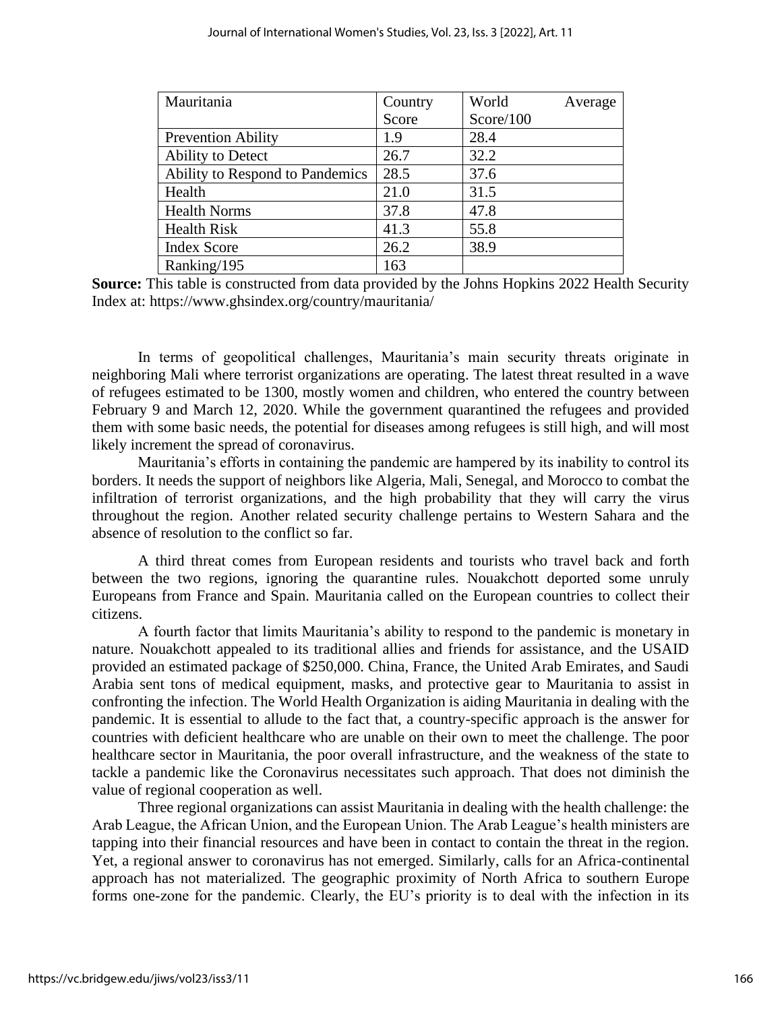| Mauritania                      | Country | World     | Average |
|---------------------------------|---------|-----------|---------|
|                                 | Score   | Score/100 |         |
| <b>Prevention Ability</b>       | 1.9     | 28.4      |         |
| Ability to Detect               | 26.7    | 32.2      |         |
| Ability to Respond to Pandemics | 28.5    | 37.6      |         |
| Health                          | 21.0    | 31.5      |         |
| <b>Health Norms</b>             | 37.8    | 47.8      |         |
| <b>Health Risk</b>              | 41.3    | 55.8      |         |
| <b>Index Score</b>              | 26.2    | 38.9      |         |
| Ranking/195                     | 163     |           |         |

**Source:** This table is constructed from data provided by the Johns Hopkins 2022 Health Security Index at: https://www.ghsindex.org/country/mauritania/

In terms of geopolitical challenges, Mauritania's main security threats originate in neighboring Mali where terrorist organizations are operating. The latest threat resulted in a wave of refugees estimated to be 1300, mostly women and children, who entered the country between February 9 and March 12, 2020. While the government quarantined the refugees and provided them with some basic needs, the potential for diseases among refugees is still high, and will most likely increment the spread of coronavirus.

Mauritania's efforts in containing the pandemic are hampered by its inability to control its borders. It needs the support of neighbors like Algeria, Mali, Senegal, and Morocco to combat the infiltration of terrorist organizations, and the high probability that they will carry the virus throughout the region. Another related security challenge pertains to Western Sahara and the absence of resolution to the conflict so far.

A third threat comes from European residents and tourists who travel back and forth between the two regions, ignoring the quarantine rules. Nouakchott deported some unruly Europeans from France and Spain. Mauritania called on the European countries to collect their citizens.

A fourth factor that limits Mauritania's ability to respond to the pandemic is monetary in nature. Nouakchott appealed to its traditional allies and friends for assistance, and the USAID provided an estimated package of \$250,000. China, France, the United Arab Emirates, and Saudi Arabia sent tons of medical equipment, masks, and protective gear to Mauritania to assist in confronting the infection. The World Health Organization is aiding Mauritania in dealing with the pandemic. It is essential to allude to the fact that, a country-specific approach is the answer for countries with deficient healthcare who are unable on their own to meet the challenge. The poor healthcare sector in Mauritania, the poor overall infrastructure, and the weakness of the state to tackle a pandemic like the Coronavirus necessitates such approach. That does not diminish the value of regional cooperation as well.

Three regional organizations can assist Mauritania in dealing with the health challenge: the Arab League, the African Union, and the European Union. The Arab League's health ministers are tapping into their financial resources and have been in contact to contain the threat in the region. Yet, a regional answer to coronavirus has not emerged. Similarly, calls for an Africa-continental approach has not materialized. The geographic proximity of North Africa to southern Europe forms one-zone for the pandemic. Clearly, the EU's priority is to deal with the infection in its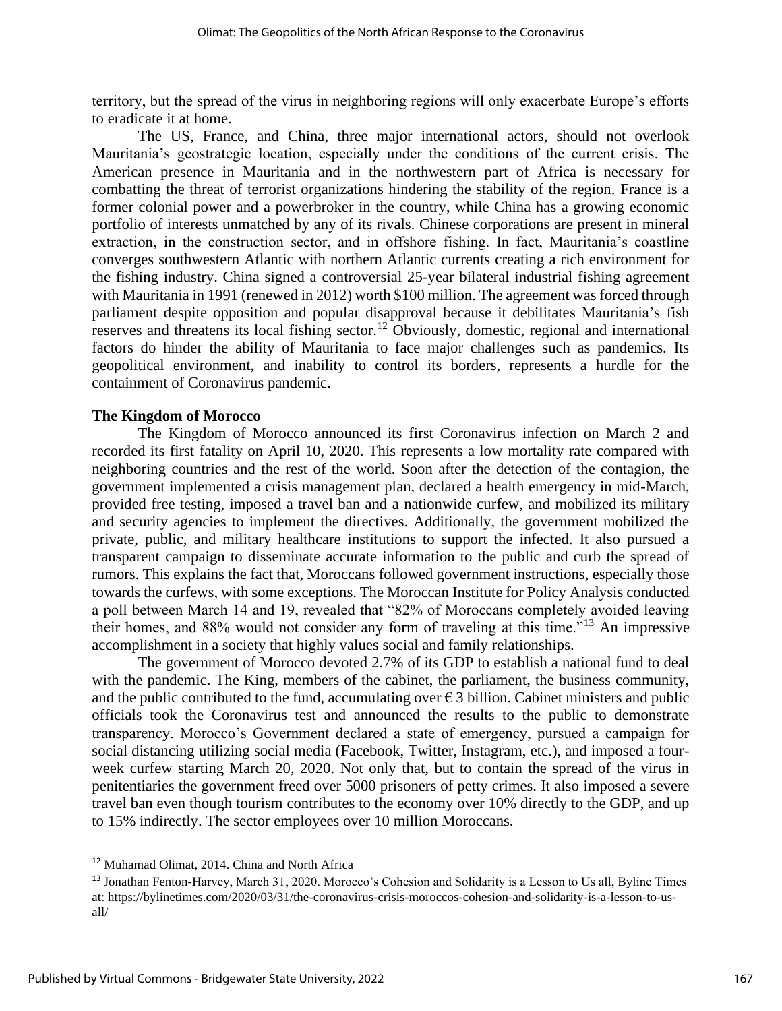territory, but the spread of the virus in neighboring regions will only exacerbate Europe's efforts to eradicate it at home.

The US, France, and China, three major international actors, should not overlook Mauritania's geostrategic location, especially under the conditions of the current crisis. The American presence in Mauritania and in the northwestern part of Africa is necessary for combatting the threat of terrorist organizations hindering the stability of the region. France is a former colonial power and a powerbroker in the country, while China has a growing economic portfolio of interests unmatched by any of its rivals. Chinese corporations are present in mineral extraction, in the construction sector, and in offshore fishing. In fact, Mauritania's coastline converges southwestern Atlantic with northern Atlantic currents creating a rich environment for the fishing industry. China signed a controversial 25-year bilateral industrial fishing agreement with Mauritania in 1991 (renewed in 2012) worth \$100 million. The agreement was forced through parliament despite opposition and popular disapproval because it debilitates Mauritania's fish reserves and threatens its local fishing sector.<sup>12</sup> Obviously, domestic, regional and international factors do hinder the ability of Mauritania to face major challenges such as pandemics. Its geopolitical environment, and inability to control its borders, represents a hurdle for the containment of Coronavirus pandemic.

#### **The Kingdom of Morocco**

The Kingdom of Morocco announced its first Coronavirus infection on March 2 and recorded its first fatality on April 10, 2020. This represents a low mortality rate compared with neighboring countries and the rest of the world. Soon after the detection of the contagion, the government implemented a crisis management plan, declared a health emergency in mid-March, provided free testing, imposed a travel ban and a nationwide curfew, and mobilized its military and security agencies to implement the directives. Additionally, the government mobilized the private, public, and military healthcare institutions to support the infected. It also pursued a transparent campaign to disseminate accurate information to the public and curb the spread of rumors. This explains the fact that, Moroccans followed government instructions, especially those towards the curfews, with some exceptions. The Moroccan Institute for Policy Analysis conducted a poll between March 14 and 19, revealed that "82% of Moroccans completely avoided leaving their homes, and 88% would not consider any form of traveling at this time."<sup>13</sup> An impressive accomplishment in a society that highly values social and family relationships.

The government of Morocco devoted 2.7% of its GDP to establish a national fund to deal with the pandemic. The King, members of the cabinet, the parliament, the business community, and the public contributed to the fund, accumulating over  $\epsilon$  3 billion. Cabinet ministers and public officials took the Coronavirus test and announced the results to the public to demonstrate transparency. Morocco's Government declared a state of emergency, pursued a campaign for social distancing utilizing social media (Facebook, Twitter, Instagram, etc.), and imposed a fourweek curfew starting March 20, 2020. Not only that, but to contain the spread of the virus in penitentiaries the government freed over 5000 prisoners of petty crimes. It also imposed a severe travel ban even though tourism contributes to the economy over 10% directly to the GDP, and up to 15% indirectly. The sector employees over 10 million Moroccans.

<sup>12</sup> Muhamad Olimat, 2014. China and North Africa

<sup>&</sup>lt;sup>13</sup> Jonathan Fenton-Harvey, March 31, 2020. Morocco's Cohesion and Solidarity is a Lesson to Us all, Byline Times at: [https://bylinetimes.com/2020/03/31/the-coronavirus-crisis-moroccos-cohesion-and-solidarity-is-a-lesson-to-us](https://bylinetimes.com/2020/03/31/the-coronavirus-crisis-moroccos-cohesion-and-solidarity-is-a-lesson-to-us-all/)[all/](https://bylinetimes.com/2020/03/31/the-coronavirus-crisis-moroccos-cohesion-and-solidarity-is-a-lesson-to-us-all/)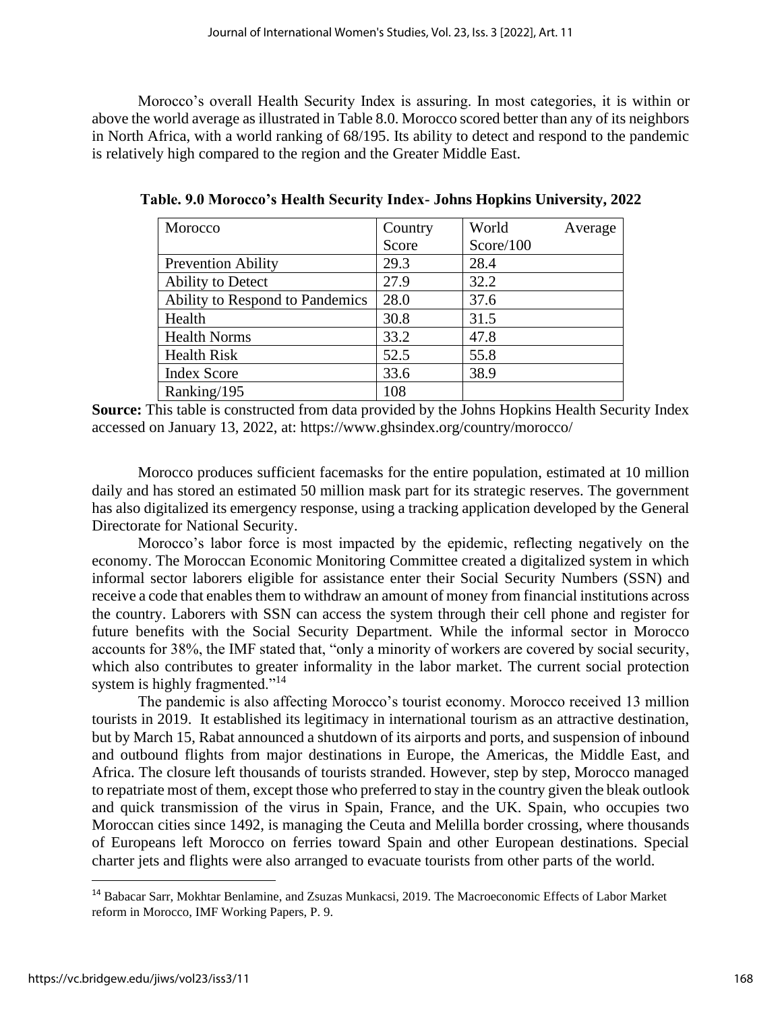Morocco's overall Health Security Index is assuring. In most categories, it is within or above the world average as illustrated in Table 8.0. Morocco scored better than any of its neighbors in North Africa, with a world ranking of 68/195. Its ability to detect and respond to the pandemic is relatively high compared to the region and the Greater Middle East.

| Morocco                         | Country | World     | Average |
|---------------------------------|---------|-----------|---------|
|                                 | Score   | Score/100 |         |
| <b>Prevention Ability</b>       | 29.3    | 28.4      |         |
| Ability to Detect               | 27.9    | 32.2      |         |
| Ability to Respond to Pandemics | 28.0    | 37.6      |         |
| Health                          | 30.8    | 31.5      |         |
| <b>Health Norms</b>             | 33.2    | 47.8      |         |
| <b>Health Risk</b>              | 52.5    | 55.8      |         |
| <b>Index Score</b>              | 33.6    | 38.9      |         |
| Ranking/195                     | 108     |           |         |

**Table. 9.0 Morocco's Health Security Index- Johns Hopkins University, 2022**

**Source:** This table is constructed from data provided by the Johns Hopkins Health Security Index accessed on January 13, 2022, at: https://www.ghsindex.org/country/morocco/

Morocco produces sufficient facemasks for the entire population, estimated at 10 million daily and has stored an estimated 50 million mask part for its strategic reserves. The government has also digitalized its emergency response, using a tracking application developed by the General Directorate for National Security.

Morocco's labor force is most impacted by the epidemic, reflecting negatively on the economy. The Moroccan Economic Monitoring Committee created a digitalized system in which informal sector laborers eligible for assistance enter their Social Security Numbers (SSN) and receive a code that enables them to withdraw an amount of money from financial institutions across the country. Laborers with SSN can access the system through their cell phone and register for future benefits with the Social Security Department. While the informal sector in Morocco accounts for 38%, the IMF stated that, "only a minority of workers are covered by social security, which also contributes to greater informality in the labor market. The current social protection system is highly fragmented."<sup>14</sup>

The pandemic is also affecting Morocco's tourist economy. Morocco received 13 million tourists in 2019. It established its legitimacy in international tourism as an attractive destination, but by March 15, Rabat announced a shutdown of its airports and ports, and suspension of inbound and outbound flights from major destinations in Europe, the Americas, the Middle East, and Africa. The closure left thousands of tourists stranded. However, step by step, Morocco managed to repatriate most of them, except those who preferred to stay in the country given the bleak outlook and quick transmission of the virus in Spain, France, and the UK. Spain, who occupies two Moroccan cities since 1492, is managing the Ceuta and Melilla border crossing, where thousands of Europeans left Morocco on ferries toward Spain and other European destinations. Special charter jets and flights were also arranged to evacuate tourists from other parts of the world.

<sup>14</sup> Babacar Sarr, Mokhtar Benlamine, and Zsuzas Munkacsi, 2019. The Macroeconomic Effects of Labor Market reform in Morocco, IMF Working Papers, P. 9.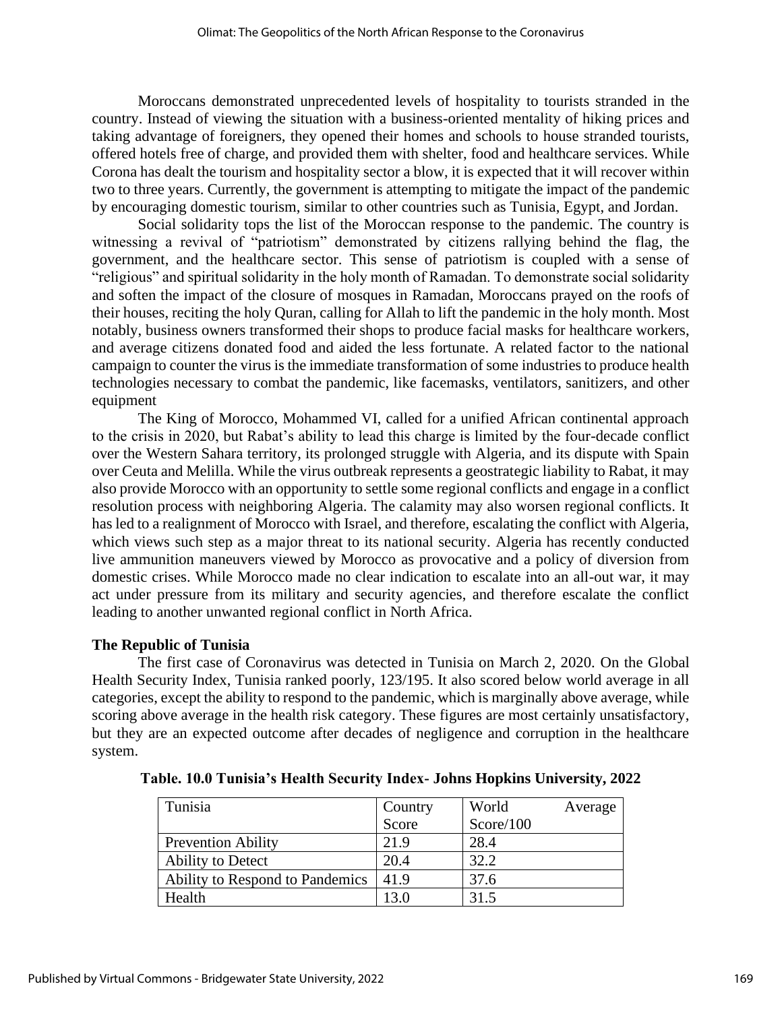Moroccans demonstrated unprecedented levels of hospitality to tourists stranded in the country. Instead of viewing the situation with a business-oriented mentality of hiking prices and taking advantage of foreigners, they opened their homes and schools to house stranded tourists, offered hotels free of charge, and provided them with shelter, food and healthcare services. While Corona has dealt the tourism and hospitality sector a blow, it is expected that it will recover within two to three years. Currently, the government is attempting to mitigate the impact of the pandemic by encouraging domestic tourism, similar to other countries such as Tunisia, Egypt, and Jordan.

Social solidarity tops the list of the Moroccan response to the pandemic. The country is witnessing a revival of "patriotism" demonstrated by citizens rallying behind the flag, the government, and the healthcare sector. This sense of patriotism is coupled with a sense of "religious" and spiritual solidarity in the holy month of Ramadan. To demonstrate social solidarity and soften the impact of the closure of mosques in Ramadan, Moroccans prayed on the roofs of their houses, reciting the holy Quran, calling for Allah to lift the pandemic in the holy month. Most notably, business owners transformed their shops to produce facial masks for healthcare workers, and average citizens donated food and aided the less fortunate. A related factor to the national campaign to counter the virus is the immediate transformation of some industries to produce health technologies necessary to combat the pandemic, like facemasks, ventilators, sanitizers, and other equipment

The King of Morocco, Mohammed VI, called for a unified African continental approach to the crisis in 2020, but Rabat's ability to lead this charge is limited by the four-decade conflict over the Western Sahara territory, its prolonged struggle with Algeria, and its dispute with Spain over Ceuta and Melilla. While the virus outbreak represents a geostrategic liability to Rabat, it may also provide Morocco with an opportunity to settle some regional conflicts and engage in a conflict resolution process with neighboring Algeria. The calamity may also worsen regional conflicts. It has led to a realignment of Morocco with Israel, and therefore, escalating the conflict with Algeria, which views such step as a major threat to its national security. Algeria has recently conducted live ammunition maneuvers viewed by Morocco as provocative and a policy of diversion from domestic crises. While Morocco made no clear indication to escalate into an all-out war, it may act under pressure from its military and security agencies, and therefore escalate the conflict leading to another unwanted regional conflict in North Africa.

#### **The Republic of Tunisia**

The first case of Coronavirus was detected in Tunisia on March 2, 2020. On the Global Health Security Index, Tunisia ranked poorly, 123/195. It also scored below world average in all categories, except the ability to respond to the pandemic, which is marginally above average, while scoring above average in the health risk category. These figures are most certainly unsatisfactory, but they are an expected outcome after decades of negligence and corruption in the healthcare system.

| Tunisia                         | Country | World     | Average |
|---------------------------------|---------|-----------|---------|
|                                 | Score   | Score/100 |         |
| <b>Prevention Ability</b>       | 21.9    | 28.4      |         |
| Ability to Detect               | 20.4    | 32.2      |         |
| Ability to Respond to Pandemics | 41.9    | 37.6      |         |
| Health                          | 13.0    | 31.5      |         |

**Table. 10.0 Tunisia's Health Security Index- Johns Hopkins University, 2022**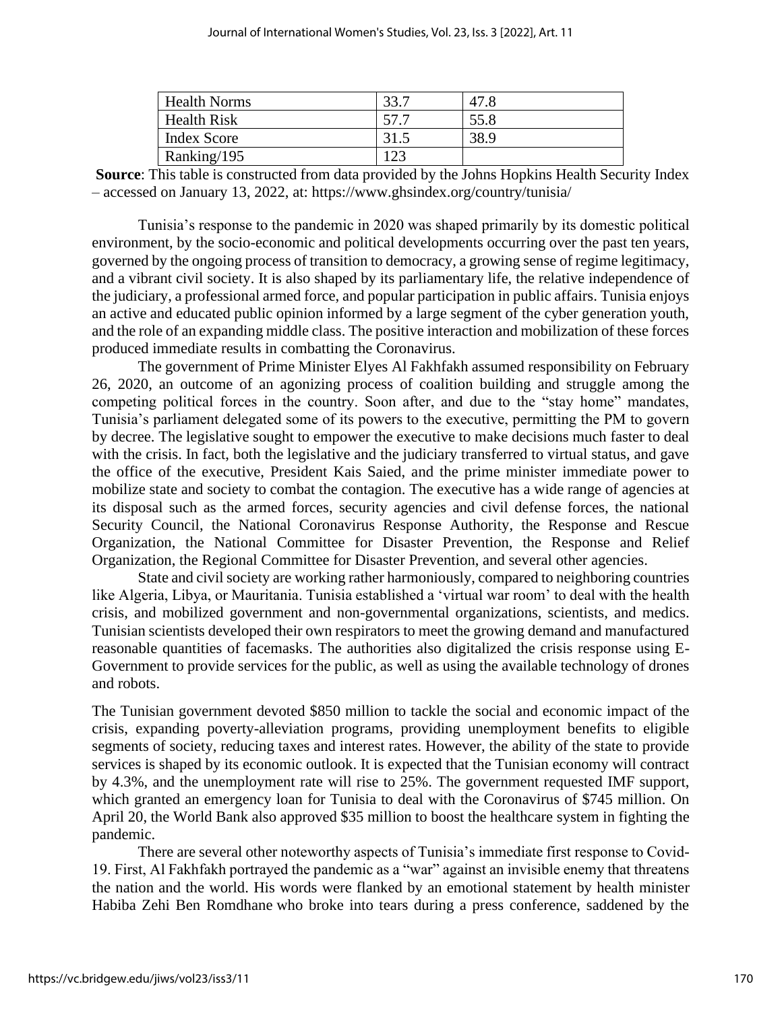| <b>Health Norms</b> | 47.8 |
|---------------------|------|
| <b>Health Risk</b>  | 55.8 |
| <b>Index Score</b>  | 38.9 |
| Ranking/195         |      |

**Source**: This table is constructed from data provided by the Johns Hopkins Health Security Index – accessed on January 13, 2022, at: https://www.ghsindex.org/country/tunisia/

Tunisia's response to the pandemic in 2020 was shaped primarily by its domestic political environment, by the socio-economic and political developments occurring over the past ten years, governed by the ongoing process of transition to democracy, a growing sense of regime legitimacy, and a vibrant civil society. It is also shaped by its parliamentary life, the relative independence of the judiciary, a professional armed force, and popular participation in public affairs. Tunisia enjoys an active and educated public opinion informed by a large segment of the cyber generation youth, and the role of an expanding middle class. The positive interaction and mobilization of these forces produced immediate results in combatting the Coronavirus.

The government of Prime Minister Elyes Al Fakhfakh assumed responsibility on February 26, 2020, an outcome of an agonizing process of coalition building and struggle among the competing political forces in the country. Soon after, and due to the "stay home" mandates, Tunisia's parliament delegated some of its powers to the executive, permitting the PM to govern by decree. The legislative sought to empower the executive to make decisions much faster to deal with the crisis. In fact, both the legislative and the judiciary transferred to virtual status, and gave the office of the executive, President Kais Saied, and the prime minister immediate power to mobilize state and society to combat the contagion. The executive has a wide range of agencies at its disposal such as the armed forces, security agencies and civil defense forces, the national Security Council, the National Coronavirus Response Authority, the Response and Rescue Organization, the National Committee for Disaster Prevention, the Response and Relief Organization, the Regional Committee for Disaster Prevention, and several other agencies.

State and civil society are working rather harmoniously, compared to neighboring countries like Algeria, Libya, or Mauritania. Tunisia established a 'virtual war room' to deal with the health crisis, and mobilized government and non-governmental organizations, scientists, and medics. Tunisian scientists developed their own respirators to meet the growing demand and manufactured reasonable quantities of facemasks. The authorities also digitalized the crisis response using E-Government to provide services for the public, as well as using the available technology of drones and robots.

The Tunisian government devoted \$850 million to tackle the social and economic impact of the crisis, expanding poverty-alleviation programs, providing unemployment benefits to eligible segments of society, reducing taxes and interest rates. However, the ability of the state to provide services is shaped by its economic outlook. It is expected that the Tunisian economy will contract by 4.3%, and the unemployment rate will rise to 25%. The government requested IMF support, which granted an emergency loan for Tunisia to deal with the Coronavirus of \$745 million. On April 20, the World Bank also approved \$35 million to boost the healthcare system in fighting the pandemic.

There are several other noteworthy aspects of Tunisia's immediate first response to Covid-19. First, Al Fakhfakh portrayed the pandemic as a "war" against an invisible enemy that threatens the nation and the world. His words were flanked by an emotional statement by health minister Habiba Zehi Ben Romdhane who broke into tears during a press conference, saddened by the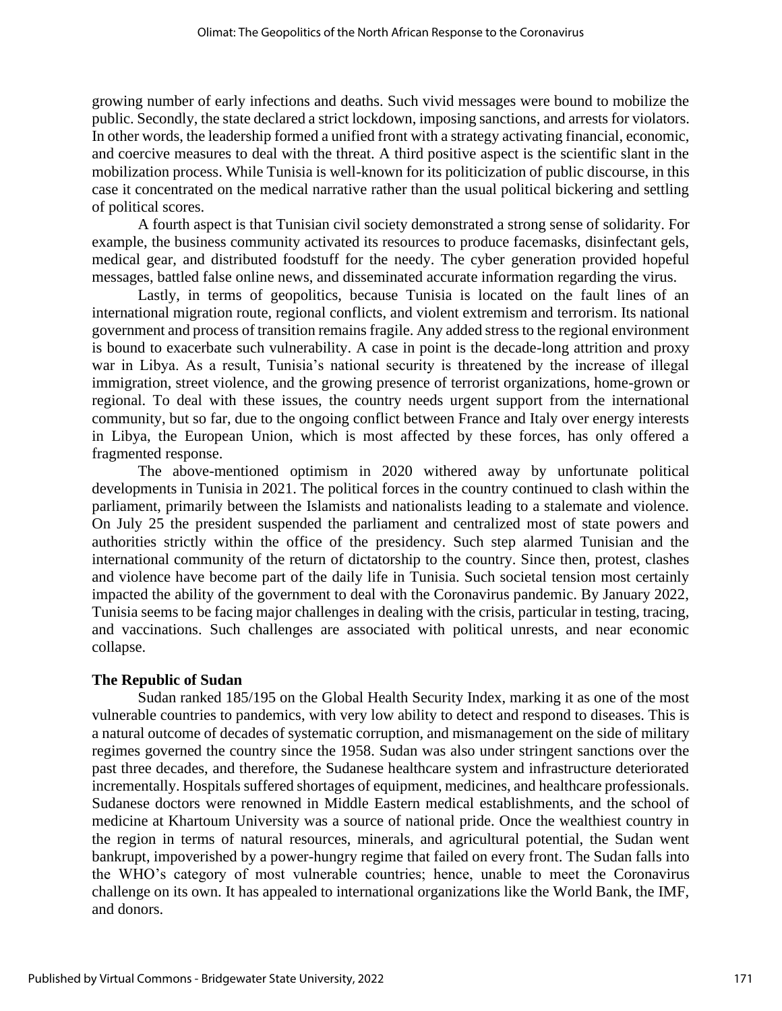growing number of early infections and deaths. Such vivid messages were bound to mobilize the public. Secondly, the state declared a strict lockdown, imposing sanctions, and arrests for violators. In other words, the leadership formed a unified front with a strategy activating financial, economic, and coercive measures to deal with the threat. A third positive aspect is the scientific slant in the mobilization process. While Tunisia is well-known for its politicization of public discourse, in this case it concentrated on the medical narrative rather than the usual political bickering and settling of political scores.

A fourth aspect is that Tunisian civil society demonstrated a strong sense of solidarity. For example, the business community activated its resources to produce facemasks, disinfectant gels, medical gear, and distributed foodstuff for the needy. The cyber generation provided hopeful messages, battled false online news, and disseminated accurate information regarding the virus.

Lastly, in terms of geopolitics, because Tunisia is located on the fault lines of an international migration route, regional conflicts, and violent extremism and terrorism. Its national government and process of transition remains fragile. Any added stress to the regional environment is bound to exacerbate such vulnerability. A case in point is the decade-long attrition and proxy war in Libya. As a result, Tunisia's national security is threatened by the increase of illegal immigration, street violence, and the growing presence of terrorist organizations, home-grown or regional. To deal with these issues, the country needs urgent support from the international community, but so far, due to the ongoing conflict between France and Italy over energy interests in Libya, the European Union, which is most affected by these forces, has only offered a fragmented response.

The above-mentioned optimism in 2020 withered away by unfortunate political developments in Tunisia in 2021. The political forces in the country continued to clash within the parliament, primarily between the Islamists and nationalists leading to a stalemate and violence. On July 25 the president suspended the parliament and centralized most of state powers and authorities strictly within the office of the presidency. Such step alarmed Tunisian and the international community of the return of dictatorship to the country. Since then, protest, clashes and violence have become part of the daily life in Tunisia. Such societal tension most certainly impacted the ability of the government to deal with the Coronavirus pandemic. By January 2022, Tunisia seems to be facing major challenges in dealing with the crisis, particular in testing, tracing, and vaccinations. Such challenges are associated with political unrests, and near economic collapse.

#### **The Republic of Sudan**

Sudan ranked 185/195 on the Global Health Security Index, marking it as one of the most vulnerable countries to pandemics, with very low ability to detect and respond to diseases. This is a natural outcome of decades of systematic corruption, and mismanagement on the side of military regimes governed the country since the 1958. Sudan was also under stringent sanctions over the past three decades, and therefore, the Sudanese healthcare system and infrastructure deteriorated incrementally. Hospitals suffered shortages of equipment, medicines, and healthcare professionals. Sudanese doctors were renowned in Middle Eastern medical establishments, and the school of medicine at Khartoum University was a source of national pride. Once the wealthiest country in the region in terms of natural resources, minerals, and agricultural potential, the Sudan went bankrupt, impoverished by a power-hungry regime that failed on every front. The Sudan falls into the WHO's category of most vulnerable countries; hence, unable to meet the Coronavirus challenge on its own. It has appealed to international organizations like the World Bank, the IMF, and donors.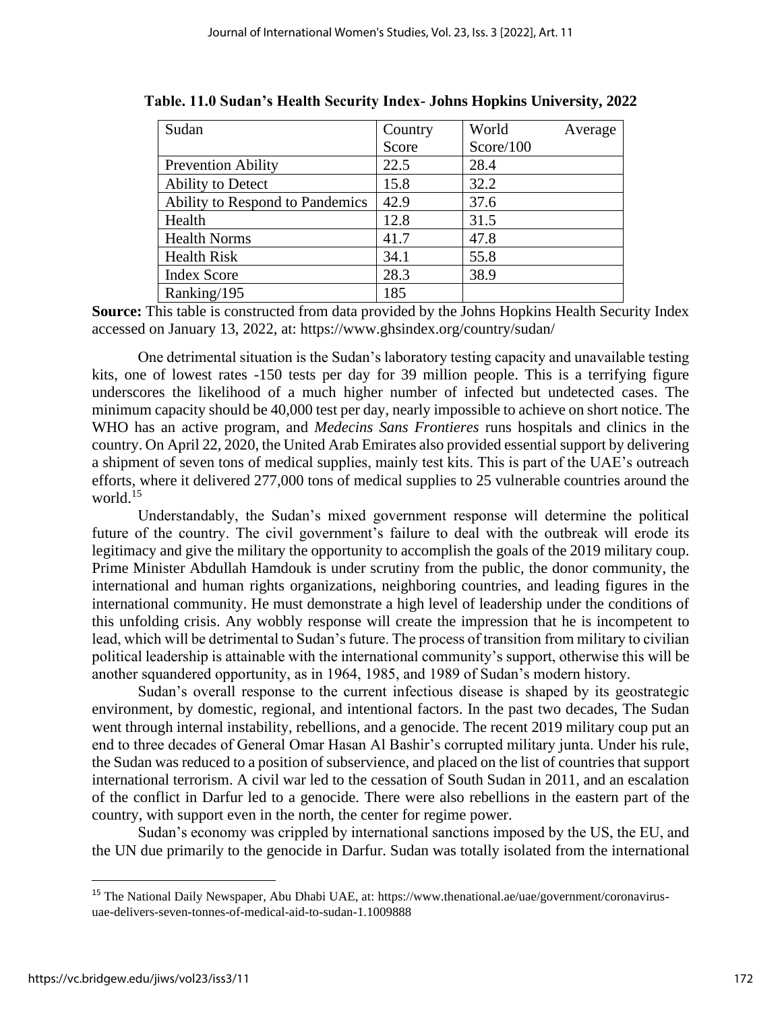| Sudan                           | Country | World     | Average |
|---------------------------------|---------|-----------|---------|
|                                 | Score   | Score/100 |         |
| <b>Prevention Ability</b>       | 22.5    | 28.4      |         |
| Ability to Detect               | 15.8    | 32.2      |         |
| Ability to Respond to Pandemics | 42.9    | 37.6      |         |
| Health                          | 12.8    | 31.5      |         |
| <b>Health Norms</b>             | 41.7    | 47.8      |         |
| <b>Health Risk</b>              | 34.1    | 55.8      |         |
| <b>Index Score</b>              | 28.3    | 38.9      |         |
| Ranking/195                     | 185     |           |         |

**Table. 11.0 Sudan's Health Security Index- Johns Hopkins University, 2022**

**Source:** This table is constructed from data provided by the Johns Hopkins Health Security Index accessed on January 13, 2022, at: https://www.ghsindex.org/country/sudan/

One detrimental situation is the Sudan's laboratory testing capacity and unavailable testing kits, one of lowest rates -150 tests per day for 39 million people. This is a terrifying figure underscores the likelihood of a much higher number of infected but undetected cases. The minimum capacity should be 40,000 test per day, nearly impossible to achieve on short notice. The WHO has an active program, and *Medecins Sans Frontieres* runs hospitals and clinics in the country. On April 22, 2020, the United Arab Emirates also provided essential support by delivering a shipment of seven tons of medical supplies, mainly test kits. This is part of the UAE's outreach efforts, where it delivered 277,000 tons of medical supplies to 25 vulnerable countries around the world.<sup>15</sup>

Understandably, the Sudan's mixed government response will determine the political future of the country. The civil government's failure to deal with the outbreak will erode its legitimacy and give the military the opportunity to accomplish the goals of the 2019 military coup. Prime Minister Abdullah Hamdouk is under scrutiny from the public, the donor community, the international and human rights organizations, neighboring countries, and leading figures in the international community. He must demonstrate a high level of leadership under the conditions of this unfolding crisis. Any wobbly response will create the impression that he is incompetent to lead, which will be detrimental to Sudan's future. The process of transition from military to civilian political leadership is attainable with the international community's support, otherwise this will be another squandered opportunity, as in 1964, 1985, and 1989 of Sudan's modern history.

Sudan's overall response to the current infectious disease is shaped by its geostrategic environment, by domestic, regional, and intentional factors. In the past two decades, The Sudan went through internal instability, rebellions, and a genocide. The recent 2019 military coup put an end to three decades of General Omar Hasan Al Bashir's corrupted military junta. Under his rule, the Sudan was reduced to a position of subservience, and placed on the list of countries that support international terrorism. A civil war led to the cessation of South Sudan in 2011, and an escalation of the conflict in Darfur led to a genocide. There were also rebellions in the eastern part of the country, with support even in the north, the center for regime power.

Sudan's economy was crippled by international sanctions imposed by the US, the EU, and the UN due primarily to the genocide in Darfur. Sudan was totally isolated from the international

<sup>&</sup>lt;sup>15</sup> The National Daily Newspaper, Abu Dhabi UAE, at: [https://www.thenational.ae/uae/government/coronavirus](https://www.thenational.ae/uae/government/coronavirus-uae-delivers-seven-tonnes-of-medical-aid-to-sudan-1.1009888)[uae-delivers-seven-tonnes-of-medical-aid-to-sudan-1.1009888](https://www.thenational.ae/uae/government/coronavirus-uae-delivers-seven-tonnes-of-medical-aid-to-sudan-1.1009888)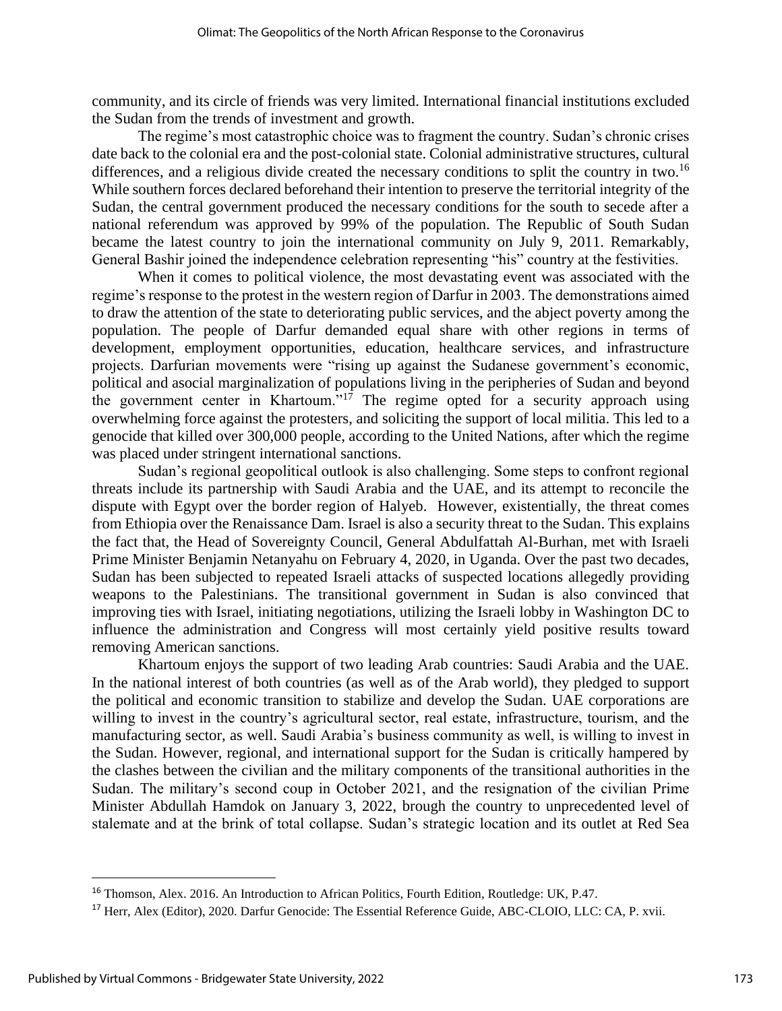community, and its circle of friends was very limited. International financial institutions excluded the Sudan from the trends of investment and growth.

The regime's most catastrophic choice was to fragment the country. Sudan's chronic crises date back to the colonial era and the post-colonial state. Colonial administrative structures, cultural differences, and a religious divide created the necessary conditions to split the country in two.<sup>16</sup> While southern forces declared beforehand their intention to preserve the territorial integrity of the Sudan, the central government produced the necessary conditions for the south to secede after a national referendum was approved by 99% of the population. The Republic of South Sudan became the latest country to join the international community on July 9, 2011. Remarkably, General Bashir joined the independence celebration representing "his" country at the festivities.

When it comes to political violence, the most devastating event was associated with the regime's response to the protest in the western region of Darfur in 2003. The demonstrations aimed to draw the attention of the state to deteriorating public services, and the abject poverty among the population. The people of Darfur demanded equal share with other regions in terms of development, employment opportunities, education, healthcare services, and infrastructure projects. Darfurian movements were "rising up against the Sudanese government's economic, political and asocial marginalization of populations living in the peripheries of Sudan and beyond the government center in Khartoum."<sup>17</sup> The regime opted for a security approach using overwhelming force against the protesters, and soliciting the support of local militia. This led to a genocide that killed over 300,000 people, according to the United Nations, after which the regime was placed under stringent international sanctions.

Sudan's regional geopolitical outlook is also challenging. Some steps to confront regional threats include its partnership with Saudi Arabia and the UAE, and its attempt to reconcile the dispute with Egypt over the border region of Halyeb. However, existentially, the threat comes from Ethiopia over the Renaissance Dam. Israel is also a security threat to the Sudan. This explains the fact that, the Head of Sovereignty Council, General Abdulfattah Al-Burhan, met with Israeli Prime Minister Benjamin Netanyahu on February 4, 2020, in Uganda. Over the past two decades, Sudan has been subjected to repeated Israeli attacks of suspected locations allegedly providing weapons to the Palestinians. The transitional government in Sudan is also convinced that improving ties with Israel, initiating negotiations, utilizing the Israeli lobby in Washington DC to influence the administration and Congress will most certainly yield positive results toward removing American sanctions.

Khartoum enjoys the support of two leading Arab countries: Saudi Arabia and the UAE. In the national interest of both countries (as well as of the Arab world), they pledged to support the political and economic transition to stabilize and develop the Sudan. UAE corporations are willing to invest in the country's agricultural sector, real estate, infrastructure, tourism, and the manufacturing sector, as well. Saudi Arabia's business community as well, is willing to invest in the Sudan. However, regional, and international support for the Sudan is critically hampered by the clashes between the civilian and the military components of the transitional authorities in the Sudan. The military's second coup in October 2021, and the resignation of the civilian Prime Minister Abdullah Hamdok on January 3, 2022, brough the country to unprecedented level of stalemate and at the brink of total collapse. Sudan's strategic location and its outlet at Red Sea

<sup>16</sup> Thomson, Alex. 2016. An Introduction to African Politics, Fourth Edition, Routledge: UK, P.47.

<sup>&</sup>lt;sup>17</sup> Herr, Alex (Editor), 2020. Darfur Genocide: The Essential Reference Guide, ABC-CLOIO, LLC: CA, P. xvii.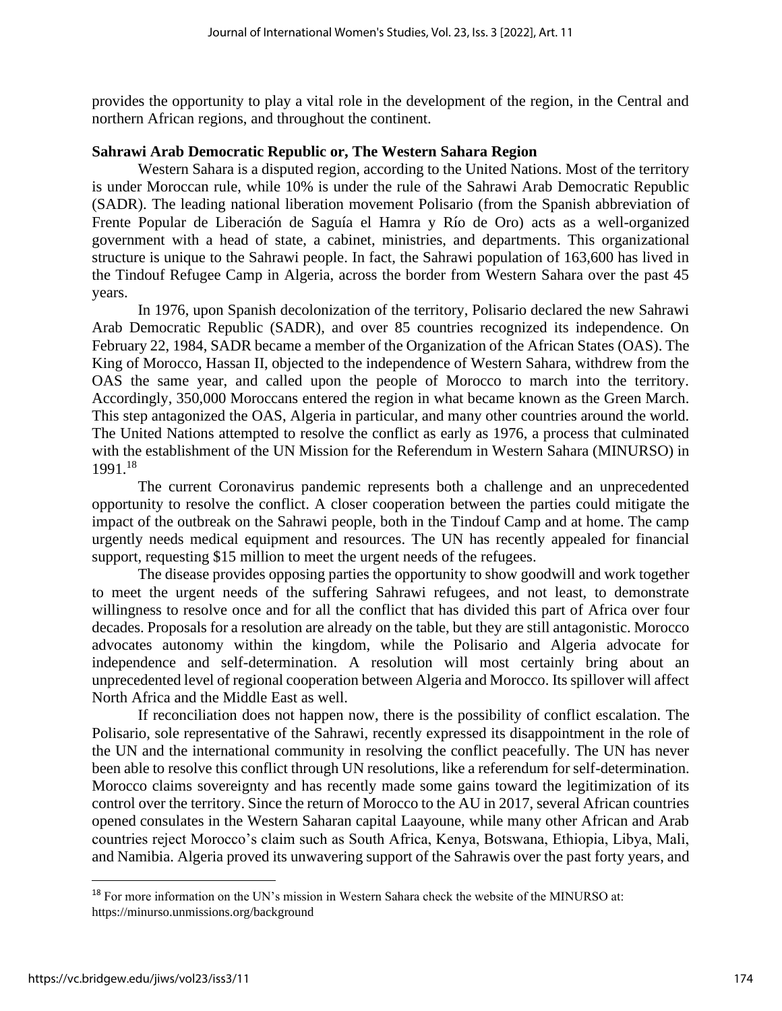provides the opportunity to play a vital role in the development of the region, in the Central and northern African regions, and throughout the continent.

#### **Sahrawi Arab Democratic Republic or, The Western Sahara Region**

Western Sahara is a disputed region, according to the United Nations. Most of the territory is under Moroccan rule, while 10% is under the rule of the Sahrawi Arab Democratic Republic (SADR). The leading national liberation movement Polisario (from the Spanish abbreviation of Frente Popular de Liberación de Saguía el Hamra y Río de Oro) acts as a well-organized government with a head of state, a cabinet, ministries, and departments. This organizational structure is unique to the Sahrawi people. In fact, the Sahrawi population of 163,600 has lived in the Tindouf Refugee Camp in Algeria, across the border from Western Sahara over the past 45 years.

In 1976, upon Spanish decolonization of the territory, Polisario declared the new Sahrawi Arab Democratic Republic (SADR), and over 85 countries recognized its independence. On February 22, 1984, SADR became a member of the Organization of the African States (OAS). The King of Morocco, Hassan II, objected to the independence of Western Sahara, withdrew from the OAS the same year, and called upon the people of Morocco to march into the territory. Accordingly, 350,000 Moroccans entered the region in what became known as the Green March. This step antagonized the OAS, Algeria in particular, and many other countries around the world. The United Nations attempted to resolve the conflict as early as 1976, a process that culminated with the establishment of the UN Mission for the Referendum in Western Sahara (MINURSO) in 1991.<sup>18</sup>

The current Coronavirus pandemic represents both a challenge and an unprecedented opportunity to resolve the conflict. A closer cooperation between the parties could mitigate the impact of the outbreak on the Sahrawi people, both in the Tindouf Camp and at home. The camp urgently needs medical equipment and resources. The UN has recently appealed for financial support, requesting \$15 million to meet the urgent needs of the refugees.

The disease provides opposing parties the opportunity to show goodwill and work together to meet the urgent needs of the suffering Sahrawi refugees, and not least, to demonstrate willingness to resolve once and for all the conflict that has divided this part of Africa over four decades. Proposals for a resolution are already on the table, but they are still antagonistic. Morocco advocates autonomy within the kingdom, while the Polisario and Algeria advocate for independence and self-determination. A resolution will most certainly bring about an unprecedented level of regional cooperation between Algeria and Morocco. Its spillover will affect North Africa and the Middle East as well.

If reconciliation does not happen now, there is the possibility of conflict escalation. The Polisario, sole representative of the Sahrawi, recently expressed its disappointment in the role of the UN and the international community in resolving the conflict peacefully. The UN has never been able to resolve this conflict through UN resolutions, like a referendum for self-determination. Morocco claims sovereignty and has recently made some gains toward the legitimization of its control over the territory. Since the return of Morocco to the AU in 2017, several African countries opened consulates in the Western Saharan capital Laayoune, while many other African and Arab countries reject Morocco's claim such as South Africa, Kenya, Botswana, Ethiopia, Libya, Mali, and Namibia. Algeria proved its unwavering support of the Sahrawis over the past forty years, and

<sup>&</sup>lt;sup>18</sup> For more information on the UN's mission in Western Sahara check the website of the MINURSO at: <https://minurso.unmissions.org/background>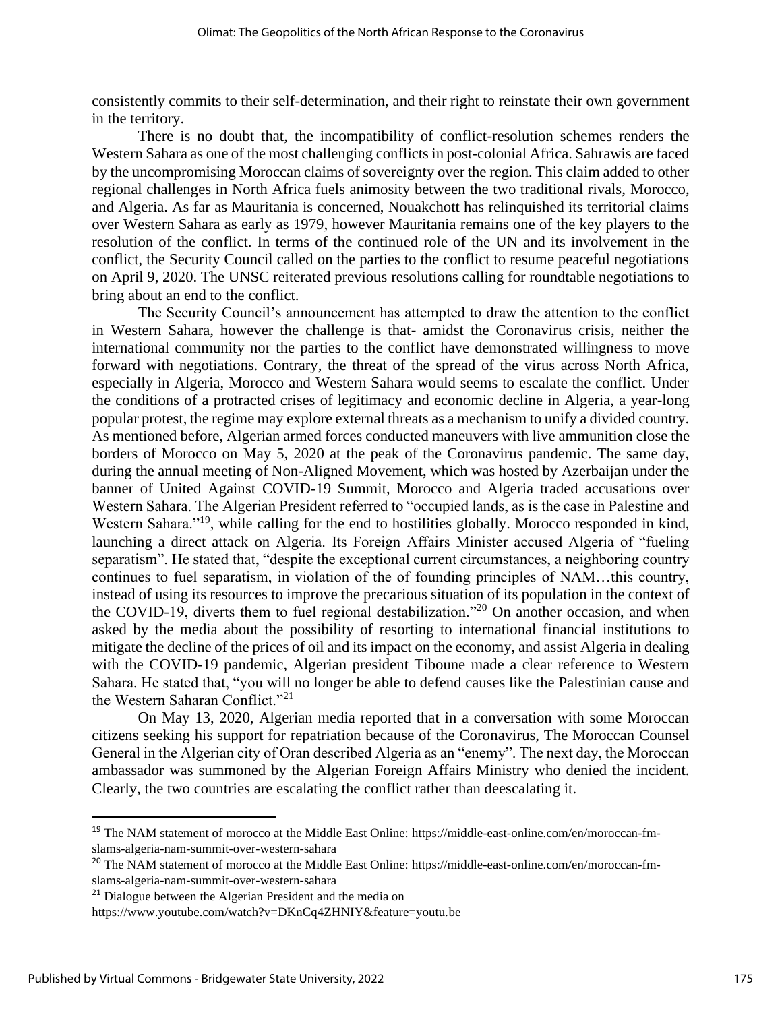consistently commits to their self-determination, and their right to reinstate their own government in the territory.

There is no doubt that, the incompatibility of conflict-resolution schemes renders the Western Sahara as one of the most challenging conflicts in post-colonial Africa. Sahrawis are faced by the uncompromising Moroccan claims of sovereignty over the region. This claim added to other regional challenges in North Africa fuels animosity between the two traditional rivals, Morocco, and Algeria. As far as Mauritania is concerned, Nouakchott has relinquished its territorial claims over Western Sahara as early as 1979, however Mauritania remains one of the key players to the resolution of the conflict. In terms of the continued role of the UN and its involvement in the conflict, the Security Council called on the parties to the conflict to resume peaceful negotiations on April 9, 2020. The UNSC reiterated previous resolutions calling for roundtable negotiations to bring about an end to the conflict.

The Security Council's announcement has attempted to draw the attention to the conflict in Western Sahara, however the challenge is that- amidst the Coronavirus crisis, neither the international community nor the parties to the conflict have demonstrated willingness to move forward with negotiations. Contrary, the threat of the spread of the virus across North Africa, especially in Algeria, Morocco and Western Sahara would seems to escalate the conflict. Under the conditions of a protracted crises of legitimacy and economic decline in Algeria, a year-long popular protest, the regime may explore external threats as a mechanism to unify a divided country. As mentioned before, Algerian armed forces conducted maneuvers with live ammunition close the borders of Morocco on May 5, 2020 at the peak of the Coronavirus pandemic. The same day, during the annual meeting of Non-Aligned Movement, which was hosted by Azerbaijan under the banner of United Against COVID-19 Summit, Morocco and Algeria traded accusations over Western Sahara. The Algerian President referred to "occupied lands, as is the case in Palestine and Western Sahara."<sup>19</sup>, while calling for the end to hostilities globally. Morocco responded in kind, launching a direct attack on Algeria. Its Foreign Affairs Minister accused Algeria of "fueling separatism". He stated that, "despite the exceptional current circumstances, a neighboring country continues to fuel separatism, in violation of the of founding principles of NAM…this country, instead of using its resources to improve the precarious situation of its population in the context of the COVID-19, diverts them to fuel regional destabilization."<sup>20</sup> On another occasion, and when asked by the media about the possibility of resorting to international financial institutions to mitigate the decline of the prices of oil and its impact on the economy, and assist Algeria in dealing with the COVID-19 pandemic, Algerian president Tiboune made a clear reference to Western Sahara. He stated that, "you will no longer be able to defend causes like the Palestinian cause and the Western Saharan Conflict."<sup>21</sup>

On May 13, 2020, Algerian media reported that in a conversation with some Moroccan citizens seeking his support for repatriation because of the Coronavirus, The Moroccan Counsel General in the Algerian city of Oran described Algeria as an "enemy". The next day, the Moroccan ambassador was summoned by the Algerian Foreign Affairs Ministry who denied the incident. Clearly, the two countries are escalating the conflict rather than deescalating it.

<sup>&</sup>lt;sup>19</sup> The NAM statement of morocco at the Middle East Online: [https://middle-east-online.com/en/moroccan-fm](https://middle-east-online.com/en/moroccan-fm-slams-algeria-nam-summit-over-western-sahara)[slams-algeria-nam-summit-over-western-sahara](https://middle-east-online.com/en/moroccan-fm-slams-algeria-nam-summit-over-western-sahara)

<sup>&</sup>lt;sup>20</sup> The NAM statement of morocco at the Middle East Online: [https://middle-east-online.com/en/moroccan-fm](https://middle-east-online.com/en/moroccan-fm-slams-algeria-nam-summit-over-western-sahara)[slams-algeria-nam-summit-over-western-sahara](https://middle-east-online.com/en/moroccan-fm-slams-algeria-nam-summit-over-western-sahara)

<sup>&</sup>lt;sup>21</sup> Dialogue between the Algerian President and the media on

<https://www.youtube.com/watch?v=DKnCq4ZHNIY&feature=youtu.be>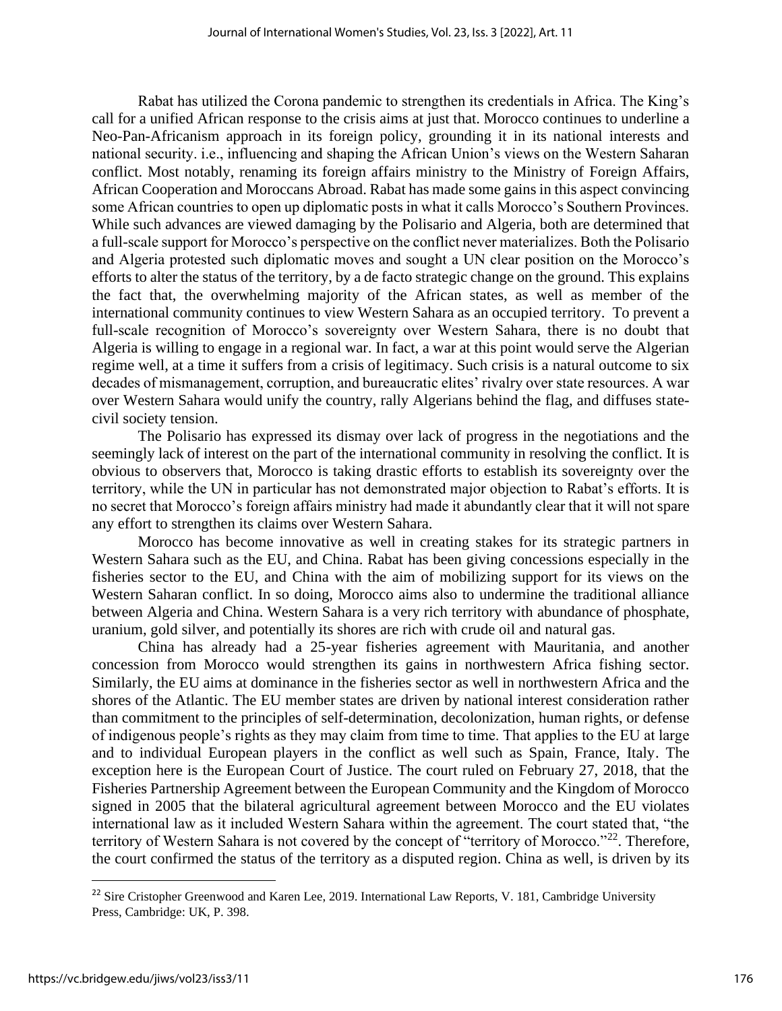Rabat has utilized the Corona pandemic to strengthen its credentials in Africa. The King's call for a unified African response to the crisis aims at just that. Morocco continues to underline a Neo-Pan-Africanism approach in its foreign policy, grounding it in its national interests and national security. i.e., influencing and shaping the African Union's views on the Western Saharan conflict. Most notably, renaming its foreign affairs ministry to the Ministry of Foreign Affairs, African Cooperation and Moroccans Abroad. Rabat has made some gains in this aspect convincing some African countries to open up diplomatic posts in what it calls Morocco's Southern Provinces. While such advances are viewed damaging by the Polisario and Algeria, both are determined that a full-scale support for Morocco's perspective on the conflict never materializes. Both the Polisario and Algeria protested such diplomatic moves and sought a UN clear position on the Morocco's efforts to alter the status of the territory, by a de facto strategic change on the ground. This explains the fact that, the overwhelming majority of the African states, as well as member of the international community continues to view Western Sahara as an occupied territory. To prevent a full-scale recognition of Morocco's sovereignty over Western Sahara, there is no doubt that Algeria is willing to engage in a regional war. In fact, a war at this point would serve the Algerian regime well, at a time it suffers from a crisis of legitimacy. Such crisis is a natural outcome to six decades of mismanagement, corruption, and bureaucratic elites' rivalry over state resources. A war over Western Sahara would unify the country, rally Algerians behind the flag, and diffuses statecivil society tension.

The Polisario has expressed its dismay over lack of progress in the negotiations and the seemingly lack of interest on the part of the international community in resolving the conflict. It is obvious to observers that, Morocco is taking drastic efforts to establish its sovereignty over the territory, while the UN in particular has not demonstrated major objection to Rabat's efforts. It is no secret that Morocco's foreign affairs ministry had made it abundantly clear that it will not spare any effort to strengthen its claims over Western Sahara.

Morocco has become innovative as well in creating stakes for its strategic partners in Western Sahara such as the EU, and China. Rabat has been giving concessions especially in the fisheries sector to the EU, and China with the aim of mobilizing support for its views on the Western Saharan conflict. In so doing, Morocco aims also to undermine the traditional alliance between Algeria and China. Western Sahara is a very rich territory with abundance of phosphate, uranium, gold silver, and potentially its shores are rich with crude oil and natural gas.

China has already had a 25-year fisheries agreement with Mauritania, and another concession from Morocco would strengthen its gains in northwestern Africa fishing sector. Similarly, the EU aims at dominance in the fisheries sector as well in northwestern Africa and the shores of the Atlantic. The EU member states are driven by national interest consideration rather than commitment to the principles of self-determination, decolonization, human rights, or defense of indigenous people's rights as they may claim from time to time. That applies to the EU at large and to individual European players in the conflict as well such as Spain, France, Italy. The exception here is the European Court of Justice. The court ruled on February 27, 2018, that the Fisheries Partnership Agreement between the European Community and the Kingdom of Morocco signed in 2005 that the bilateral agricultural agreement between Morocco and the EU violates international law as it included Western Sahara within the agreement. The court stated that, "the territory of Western Sahara is not covered by the concept of "territory of Morocco."<sup>22</sup>. Therefore, the court confirmed the status of the territory as a disputed region. China as well, is driven by its

<sup>&</sup>lt;sup>22</sup> Sire Cristopher Greenwood and Karen Lee, 2019. International Law Reports, V. 181, Cambridge University Press, Cambridge: UK, P. 398.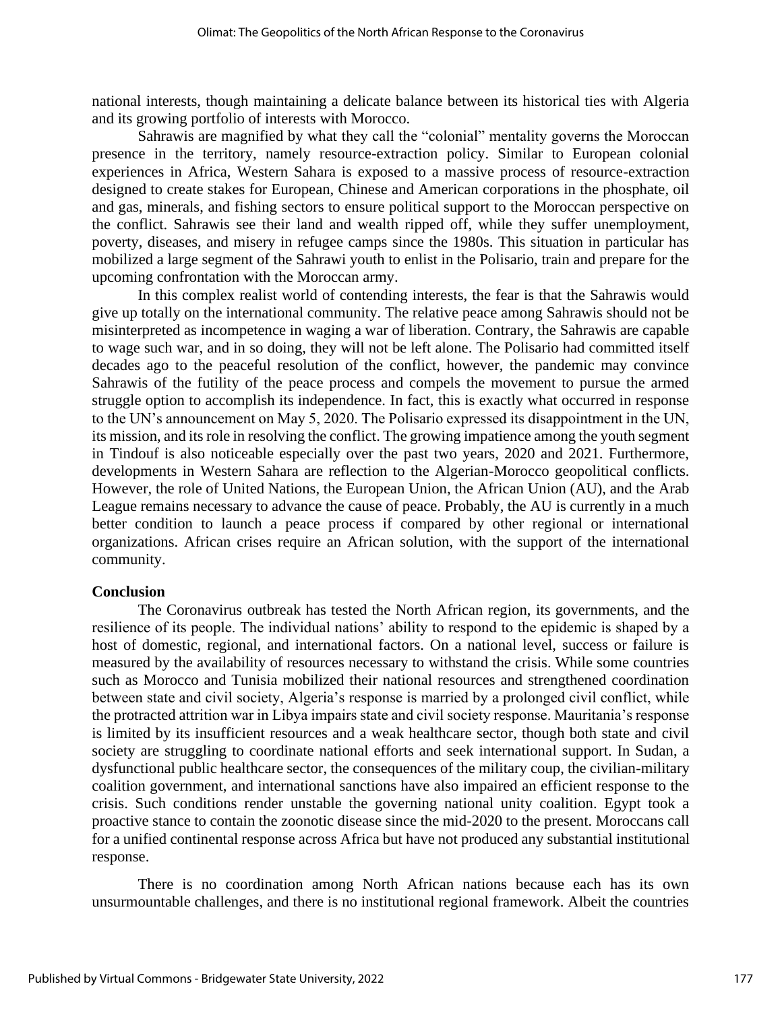national interests, though maintaining a delicate balance between its historical ties with Algeria and its growing portfolio of interests with Morocco.

Sahrawis are magnified by what they call the "colonial" mentality governs the Moroccan presence in the territory, namely resource-extraction policy. Similar to European colonial experiences in Africa, Western Sahara is exposed to a massive process of resource-extraction designed to create stakes for European, Chinese and American corporations in the phosphate, oil and gas, minerals, and fishing sectors to ensure political support to the Moroccan perspective on the conflict. Sahrawis see their land and wealth ripped off, while they suffer unemployment, poverty, diseases, and misery in refugee camps since the 1980s. This situation in particular has mobilized a large segment of the Sahrawi youth to enlist in the Polisario, train and prepare for the upcoming confrontation with the Moroccan army.

In this complex realist world of contending interests, the fear is that the Sahrawis would give up totally on the international community. The relative peace among Sahrawis should not be misinterpreted as incompetence in waging a war of liberation. Contrary, the Sahrawis are capable to wage such war, and in so doing, they will not be left alone. The Polisario had committed itself decades ago to the peaceful resolution of the conflict, however, the pandemic may convince Sahrawis of the futility of the peace process and compels the movement to pursue the armed struggle option to accomplish its independence. In fact, this is exactly what occurred in response to the UN's announcement on May 5, 2020. The Polisario expressed its disappointment in the UN, its mission, and its role in resolving the conflict. The growing impatience among the youth segment in Tindouf is also noticeable especially over the past two years, 2020 and 2021. Furthermore, developments in Western Sahara are reflection to the Algerian-Morocco geopolitical conflicts. However, the role of United Nations, the European Union, the African Union (AU), and the Arab League remains necessary to advance the cause of peace. Probably, the AU is currently in a much better condition to launch a peace process if compared by other regional or international organizations. African crises require an African solution, with the support of the international community.

#### **Conclusion**

The Coronavirus outbreak has tested the North African region, its governments, and the resilience of its people. The individual nations' ability to respond to the epidemic is shaped by a host of domestic, regional, and international factors. On a national level, success or failure is measured by the availability of resources necessary to withstand the crisis. While some countries such as Morocco and Tunisia mobilized their national resources and strengthened coordination between state and civil society, Algeria's response is married by a prolonged civil conflict, while the protracted attrition war in Libya impairs state and civil society response. Mauritania's response is limited by its insufficient resources and a weak healthcare sector, though both state and civil society are struggling to coordinate national efforts and seek international support. In Sudan, a dysfunctional public healthcare sector, the consequences of the military coup, the civilian-military coalition government, and international sanctions have also impaired an efficient response to the crisis. Such conditions render unstable the governing national unity coalition. Egypt took a proactive stance to contain the zoonotic disease since the mid-2020 to the present. Moroccans call for a unified continental response across Africa but have not produced any substantial institutional response.

There is no coordination among North African nations because each has its own unsurmountable challenges, and there is no institutional regional framework. Albeit the countries